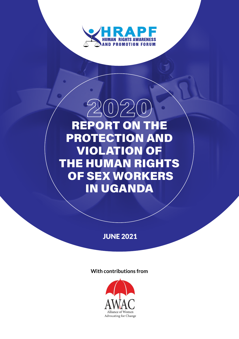

# $2(0)2(0)$ REPORT ON THE PROTECTION AND VIOLATION OF THE HUMAN RIGHTS OF SEX WORKERS IN UGANDA

# JUNE 2021

### **With contributions from**

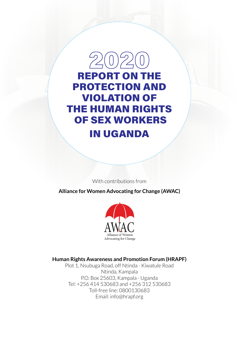

REPORT ON THE PROTECTION AND VIOLATION OF THE HUMAN RIGHTS OF SEX WORKERS IN UGANDA

With contributions from

**Alliance for Women Advocating for Change (AWAC)**



### **Human Rights Awareness and Promotion Forum (HRAPF)**

Plot 1, Nsubuga Road, off Ntinda - Kiwatule Road Ntinda, Kampala P.O. Box 25603, Kampala - Uganda Tel: +256 414 530683 and +256 312 530683 Toll-free line: 0800130683 Email: [info@hrapf.org](mailto:info@hrapf.org)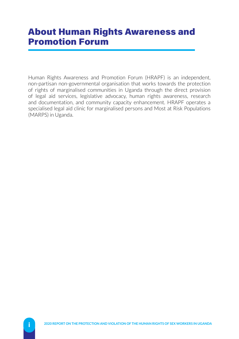# About Human Rights Awareness and Promotion Forum

Human Rights Awareness and Promotion Forum (HRAPF) is an independent, non-partisan non-governmental organisation that works towards the protection of rights of marginalised communities in Uganda through the direct provision of legal aid services, legislative advocacy, human rights awareness, research and documentation, and community capacity enhancement. HRAPF operates a specialised legal aid clinic for marginalised persons and Most at Risk Populations (MARPS) in Uganda.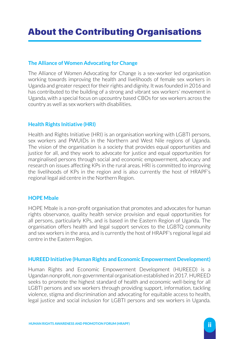# About the Contributing Organisations

### **The Alliance of Women Advocating for Change**

The Alliance of Women Advocating for Change is a sex-worker led organisation working towards improving the health and livelihoods of female sex workers in Uganda and greater respect for their rights and dignity. It was founded in 2016 and has contributed to the building of a strong and vibrant sex workers' movement in Uganda, with a special focus on upcountry based CBOs for sex workers across the country as well as sex workers with disabilities.

### **Health Rights Initiative (HRI)**

Health and Rights Initiative (HRI) is an organisation working with LGBTI persons, sex workers and PWUIDs in the Northern and West Nile regions of Uganda. The vision of the organisation is a society that provides equal opportunities and justice for all, and they work to advocate for justice and equal opportunities for marginalised persons through social and economic empowerment, advocacy and research on issues affecting KPs in the rural areas. HRI is committed to improving the livelihoods of KPs in the region and is also currently the host of HRAPF's regional legal aid centre in the Northern Region.

#### **HOPE Mbale**

HOPE Mbale is a non-profit organisation that promotes and advocates for human rights observance, quality health service provision and equal opportunities for all persons, particularly KPs, and is based in the Eastern Region of Uganda. The organisation offers health and legal support services to the LGBTQ community and sex workers in the area, and is currently the host of HRAPF's regional legal aid centre in the Eastern Region.

#### **HUREED Initiative (Human Rights and Economic Empowerment Development)**

Human Rights and Economic Empowerment Development (HUREED) is a Ugandan nonprofit, non-governmental organisation established in 2017. HUREED seeks to promote the highest standard of health and economic well-being for all LGBTI persons and sex workers through providing support, information, tackling violence, stigma and discrimination and advocating for equitable access to health, legal justice and social inclusion for LGBTI persons and sex workers in Uganda.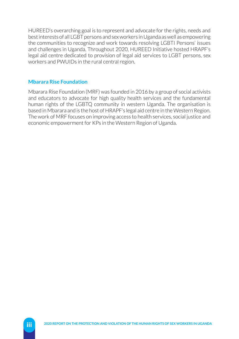HUREED's overarching goal is to represent and advocate for the rights, needs and best interests of all LGBT persons and sex workers in Uganda as well as empowering the communities to recognize and work towards resolving LGBTI Persons' issues and challenges in Uganda. Throughout 2020, HUREED Initiative hosted HRAPF's legal aid centre dedicated to provision of legal aid services to LGBT persons, sex workers and PWUIDs in the rural central region.

### **Mbarara Rise Foundation**

Mbarara Rise Foundation (MRF) was founded in 2016 by a group of social activists and educators to advocate for high quality health services and the fundamental human rights of the LGBTQ community in western Uganda. The organisation is based in Mbarara and is the host of HRAPF's legal aid centre in the Western Region. The work of MRF focuses on improving access to health services, social justice and economic empowerment for KPs in the Western Region of Uganda.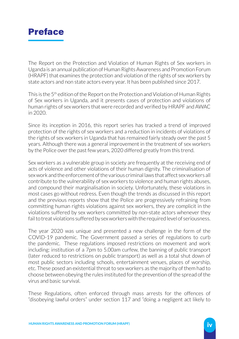

The Report on the Protection and Violation of Human Rights of Sex workers in Uganda is an annual publication of Human Rights Awareness and Promotion Forum (HRAPF) that examines the protection and violation of the rights of sex workers by state actors and non state actors every year. It has been published since 2017.

This is the 5<sup>th</sup> edition of the Report on the Protection and Violation of Human Rights of Sex workers in Uganda, and it presents cases of protection and violations of human rights of sex workers that were recorded and verified by HRAPF and AWAC in 2020.

Since its inception in 2016, this report series has tracked a trend of improved protection of the rights of sex workers and a reduction in incidents of violations of the rights of sex workers in Uganda that has remained fairly steady over the past 5 years. Although there was a general improvement in the treatment of sex workers by the Police over the past few years, 2020 differed greatly from this trend.

Sex workers as a vulnerable group in society are frequently at the receiving end of acts of violence and other violations of their human dignity. The criminalisation of sex work and the enforcement of the various criminal laws that affect sex workers all contribute to the vulnerability of sex workers to violence and human rights abuses, and compound their marginalisation in society. Unfortunately, these violations in most cases go without redress. Even though the trends as discussed in this report and the previous reports show that the Police are progressively refraining from committing human rights violations against sex workers, they are complicit in the violations suffered by sex workers committed by non-state actors whenever they fail to treat violations suffered by sex workers with the required level of seriousness.

The year 2020 was unique and presented a new challenge in the form of the COVID-19 pandemic. The Government passed a series of regulations to curb the pandemic. These regulations imposed restrictions on movement and work including: institution of a 7pm to 5.00am curfew, the banning of public transport (later reduced to restrictions on public transport) as well as a total shut down of most public sectors including schools, entertainment venues, places of worship, etc. These posed an existential threat to sex workers as the majority of them had to choose between obeying the rules instituted for the prevention of the spread of the virus and basic survival.

These Regulations, often enforced through mass arrests for the offences of "disobeying lawful orders" under section 117 and "doing a negligent act likely to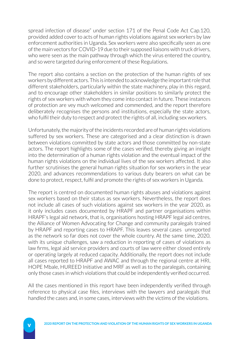spread infection of disease" under section 171 of the Penal Code Act Cap.120, provided added cover to acts of human rights violations against sex workers by law enforcement authorities in Uganda. Sex workers were also specifically seen as one of the main vectors for COVID-19 due to their supposed liaisons with truck drivers, who were seen as the main pathway through which the virus entered the country, and so were targeted during enforcement of these Regulations.

The report also contains a section on the protection of the human rights of sex workers by different actors. This is intended to acknowledge the important role that different stakeholders, particularly within the state machinery, play in this regard, and to encourage other stakeholders in similar positions to similarly protect the rights of sex workers with whom they come into contact in future. These instances of protection are vey much welcomed and commended, and the report therefore deliberately recognises the persons and institutions, especially the state actors, who fulfil their duty to respect and protect the rights of all, including sex workers.

Unfortunately, the majority of the incidents recorded are of human rights violations suffered by sex workers. These are categorised and a clear distinction is drawn between violations committed by state actors and those committed by non-state actors. The report highlights some of the cases verified, thereby giving an insight into the determination of a human rights violation and the eventual impact of the human rights violations on the individual lives of the sex workers affected. It also further scrutinises the general human rights situation for sex workers in the year 2020, and advances recommendations to various duty bearers on what can be done to protect, respect, fulfil and promote the rights of sex workers in Uganda.

The report is centred on documented human rights abuses and violations against sex workers based on their status as sex workers. Nevertheless, the report does not include all cases of such violations against sex workers in the year 2020, as it only includes cases documented by HRAPF and partner organisations within HRAPF's legal aid network, that is, organisations hosting HRAPF legal aid centres, the Alliance of Women Advocating for Change and community paralegals trained by HRAPF and reporting cases to HRAPF. This leaves several cases unreported as the network so far does not cover the whole country. At the same time, 2020, with its unique challenges, saw a reduction in reporting of cases of violations as law firms, legal aid service providers and courts of law were either closed entirely or operating largely at reduced capacity. Additionally, the report does not include all cases reported to HRAPF and AWAC and through the regional centre at HRI, HOPE Mbale, HUREED Initiative and MRF as well as to the paralegals, containing only those cases in which violations that could be independently verified occurred.

All the cases mentioned in this report have been independently verified through reference to physical case files, interviews with the lawyers and paralegals that handled the cases and, in some cases, interviews with the victims of the violations.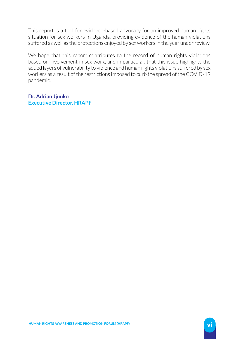This report is a tool for evidence-based advocacy for an improved human rights situation for sex workers in Uganda, providing evidence of the human violations suffered as well as the protections enjoyed by sex workers in the year under review.

We hope that this report contributes to the record of human rights violations based on involvement in sex work, and in particular, that this issue highlights the added layers of vulnerability to violence and human rights violations suffered by sex workers as a result of the restrictions imposed to curb the spread of the COVID-19 pandemic.

**Dr. Adrian Jjuuko Executive Director, HRAPF**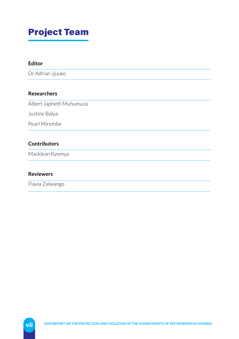# Project Team

### **Editor**

Dr Adrian Jjuuko

### **Researchers**

Albert Japheth Muhumuza

Justine Balya

Pearl Mirembe

### **Contributors**

Macklean Kyomya

#### **Reviewers**

Flavia Zalwango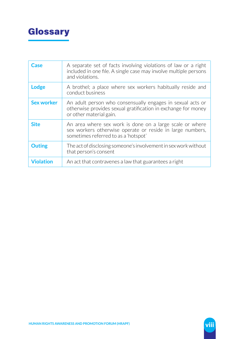

| Case              | A separate set of facts involving violations of law or a right<br>included in one file. A single case may involve multiple persons<br>and violations.         |
|-------------------|---------------------------------------------------------------------------------------------------------------------------------------------------------------|
| <b>Lodge</b>      | A brothel; a place where sex workers habitually reside and<br>conduct business                                                                                |
| <b>Sex worker</b> | An adult person who consensually engages in sexual acts or<br>otherwise provides sexual gratification in exchange for money<br>or other material gain.        |
| <b>Site</b>       | An area where sex work is done on a large scale or where<br>sex workers otherwise operate or reside in large numbers,<br>sometimes referred to as a 'hotspot' |
| <b>Outing</b>     | The act of disclosing someone's involvement in sex work without<br>that person's consent                                                                      |
| <b>Violation</b>  | An act that contravenes a law that guarantees a right                                                                                                         |

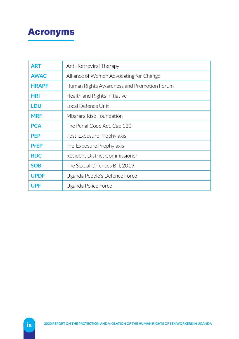# Acronyms

| ART          | Anti-Retroviral Therapy                    |  |
|--------------|--------------------------------------------|--|
| <b>AWAC</b>  | Alliance of Women Advocating for Change    |  |
| <b>HRAPF</b> | Human Rights Awareness and Promotion Forum |  |
| <b>HRI</b>   | Health and Rights Initiative               |  |
| <b>LDU</b>   | Tocal Defence Unit                         |  |
| <b>MRF</b>   | Mbarara Rise Foundation                    |  |
| <b>PCA</b>   | The Penal Code Act, Cap 120                |  |
| <b>PEP</b>   | Post-Exposure Prophylaxis                  |  |
| <b>PrEP</b>  | Pre-Exposure Prophylaxis                   |  |
| <b>RDC</b>   | <b>Resident District Commissioner</b>      |  |
| <b>SOB</b>   | The Sexual Offences Bill, 2019             |  |
| <b>UPDF</b>  | Uganda People's Defence Force              |  |
| <b>UPF</b>   | Uganda Police Force                        |  |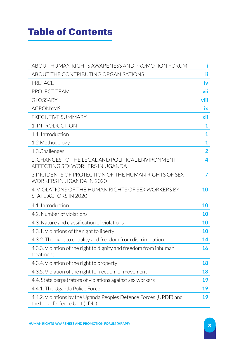# Table of Contents

| ABOUT HUMAN RIGHTS AWARENESS AND PROMOTION FORUM                                                  | i         |
|---------------------------------------------------------------------------------------------------|-----------|
| ABOUT THE CONTRIBUTING ORGANISATIONS                                                              | ii.       |
| <b>PREFACE</b>                                                                                    | iv        |
| PROJECT TEAM                                                                                      | vii       |
| <b>GLOSSARY</b>                                                                                   | viii      |
| <b>ACRONYMS</b>                                                                                   | <b>ix</b> |
| <b>EXECUTIVE SUMMARY</b>                                                                          | xii       |
| 1. INTRODUCTION                                                                                   | 1         |
| 1.1. Introduction                                                                                 | 1         |
| 1.2. Methodology                                                                                  | 1         |
| 1.3.Challenges                                                                                    | 2         |
| 2. CHANGES TO THE LEGAL AND POLITICAL ENVIRONMENT<br>AFFECTING SEX WORKERS IN UGANDA              | 4         |
| 3. INCIDENTS OF PROTECTION OF THE HUMAN RIGHTS OF SEX<br>WORKERS IN UGANDA IN 2020                | 7         |
| 4. VIOLATIONS OF THE HUMAN RIGHTS OF SEX WORKERS BY<br>STATE ACTORS IN 2020                       | 10        |
| 4.1. Introduction                                                                                 | 10        |
| 4.2. Number of violations                                                                         |           |
| 4.3. Nature and classification of violations                                                      | 10        |
| 4.3.1. Violations of the right to liberty                                                         | 10        |
| 4.3.2. The right to equality and freedom from discrimination                                      | 14        |
| 4.3.3. Violation of the right to dignity and freedom from inhuman<br>treatment                    | 16        |
| 4.3.4. Violation of the right to property                                                         | 18        |
| 4.3.5. Violation of the right to freedom of movement                                              | 18        |
| 4.4. State perpetrators of violations against sex workers                                         | 19        |
| 4.4.1. The Uganda Police Force                                                                    | 19        |
| 4.4.2. Violations by the Uganda Peoples Defence Forces (UPDF) and<br>the Local Defence Unit (LDU) | 19        |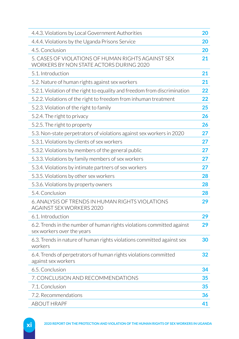| 4.4.3. Violations by Local Government Authorities                                                    |    |
|------------------------------------------------------------------------------------------------------|----|
| 4.4.4. Violations by the Uganda Prisons Service                                                      |    |
| 4.5. Conclusion                                                                                      |    |
| 5. CASES OF VIOLATIONS OF HUMAN RIGHTS AGAINST SEX<br>WORKERS BY NON STATE ACTORS DURING 2020        | 21 |
| 5.1. Introduction                                                                                    |    |
| 5.2. Nature of human rights against sex workers                                                      |    |
| 5.2.1. Violation of the right to equality and freedom from discrimination                            | 22 |
| 5.2.2. Violations of the right to freedom from inhuman treatment                                     |    |
| 5.2.3. Violation of the right to family                                                              |    |
| 5.2.4. The right to privacy                                                                          | 26 |
| 5.2.5. The right to property                                                                         | 26 |
| 5.3. Non-state perpetrators of violations against sex workers in 2020                                | 27 |
| 5.3.1. Violations by clients of sex workers                                                          | 27 |
| 5.3.2. Violations by members of the general public                                                   | 27 |
| 5.3.3. Violations by family members of sex workers                                                   | 27 |
| 5.3.4. Violations by intimate partners of sex workers                                                | 27 |
| 5.3.5. Violations by other sex workers                                                               | 28 |
| 5.3.6. Violations by property owners                                                                 | 28 |
| 5.4. Conclusion                                                                                      | 28 |
| 6. ANALYSIS OF TRENDS IN HUMAN RIGHTS VIOLATIONS<br>AGAINST SEX WORKERS 2020                         | 29 |
| 6.1. Introduction                                                                                    | 29 |
| 6.2. Trends in the number of human rights violations committed against<br>sex workers over the years | 29 |
| 6.3. Trends in nature of human rights violations committed against sex<br>workers                    | 30 |
| 6.4. Trends of perpetrators of human rights violations committed<br>against sex workers              | 32 |
| 6.5. Conclusion                                                                                      | 34 |
| 7. CONCLUSION AND RECOMMENDATIONS                                                                    |    |
| 7.1. Conclusion                                                                                      |    |
| 7.2. Recommendations                                                                                 |    |
| <b>ABOUT HRAPF</b>                                                                                   |    |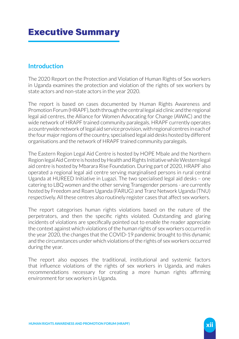# Executive Summary

# **Introduction**

The 2020 Report on the Protection and Violation of Human Rights of Sex workers in Uganda examines the protection and violation of the rights of sex workers by state actors and non-state actors in the year 2020.

The report is based on cases documented by Human Rights Awareness and Promotion Forum (HRAPF), both through the central legal aid clinic and the regional legal aid centres, the Alliance for Women Advocating for Change (AWAC) and the wide network of HRAPF trained community paralegals. HRAPF currently operates a countrywide network of legal aid service provision, with regional centres in each of the four major regions of the country, specialised legal aid desks hosted by different organisations and the network of HRAPF trained community paralegals.

The Eastern Region Legal Aid Centre is hosted by HOPE Mbale and the Northern Region legal Aid Centre is hosted by Health and Rights Initiative while Western legal aid centre is hosted by Mbarara Rise Foundation. During part of 2020, HRAPF also operated a regional legal aid centre serving marginalised persons in rural central Uganda at HUREED Initiative in Lugazi. The two specialised legal aid desks – one catering to LBQ women and the other serving Transgender persons - are currently hosted by Freedom and Roam Uganda (FARUG) and Tranz Network Uganda (TNU) respectively. All these centres also routinely register cases that affect sex workers.

The report categorises human rights violations based on the nature of the perpetrators, and then the specific rights violated. Outstanding and glaring incidents of violations are specifically pointed out to enable the reader appreciate the context against which violations of the human rights of sex workers occurred in the year 2020, the changes that the COVID-19 pandemic brought to this dynamic and the circumstances under which violations of the rights of sex workers occurred during the year.

The report also exposes the traditional, institutional and systemic factors that influence violations of the rights of sex workers in Uganda, and makes recommendations necessary for creating a more human rights affirming environment for sex workers in Uganda.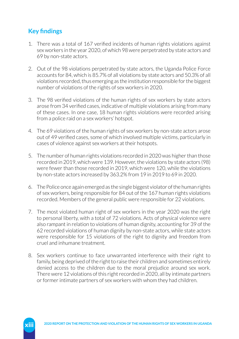# **Key findings**

- 1. There was a total of 167 verified incidents of human rights violations against sex workers in the year 2020, of which 98 were perpetrated by state actors and 69 by non-state actors.
- 2. Out of the 98 violations perpetrated by state actors, the Uganda Police Force accounts for 84, which is 85.7% of all violations by state actors and 50.3% of all violations recorded, thus emerging as the institution responsible for the biggest number of violations of the rights of sex workers in 2020.
- 3. The 98 verified violations of the human rights of sex workers by state actors arose from 34 verified cases, indicative of multiple violations arising from many of these cases. In one case, 18 human rights violations were recorded arising from a police raid on a sex workers' hotspot.
- 4. The 69 violations of the human rights of sex workers by non-state actors arose out of 49 verified cases, some of which involved multiple victims, particularly in cases of violence against sex workers at their hotspots.
- 5. The number of human rights violations recorded in 2020 was higher than those recorded in 2019, which were 139. However, the violations by state actors (98) were fewer than those recorded in 2019, which were 120, while the violations by non-state actors increased by 363.2% from 19 in 2019 to 69 in 2020.
- 6. The Police once again emerged as the single biggest violator of the human rights of sex workers, being responsible for 84 out of the 167 human rights violations recorded. Members of the general public were responsible for 22 violations.
- 7. The most violated human right of sex workers in the year 2020 was the right to personal liberty, with a total of 72 violations. Acts of physical violence were also rampant in relation to violations of human dignity, accounting for 39 of the 62 recorded violations of human dignity by non-state actors, while state actors were responsible for 15 violations of the right to dignity and freedom from cruel and inhumane treatment.
- 8. Sex workers continue to face unwarranted interference with their right to family, being deprived of the right to raise their children and sometimes entirely denied access to the children due to the moral prejudice around sex work. There were 12 violations of this right recorded in 2020, all by intimate partners or former intimate partners of sex workers with whom they had children.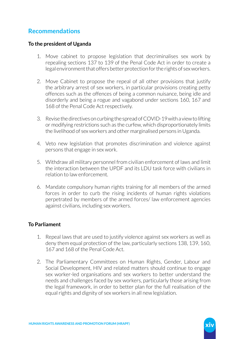# **Recommendations**

### **To the president of Uganda**

- 1. Move cabinet to propose legislation that decriminalises sex work by repealing sections 137 to 139 of the Penal Code Act in order to create a legal environment that offers better protection for the rights of sex workers.
- 2. Move Cabinet to propose the repeal of all other provisions that justify the arbitrary arrest of sex workers, in particular provisions creating petty offences such as the offences of being a common nuisance, being idle and disorderly and being a rogue and vagabond under sections 160, 167 and 168 of the Penal Code Act respectively.
- 3. Revise the directives on curbing the spread of COVID-19 with a view to lifting or modifying restrictions such as the curfew, which disproportionately limits the livelihood of sex workers and other marginalised persons in Uganda.
- 4. Veto new legislation that promotes discrimination and violence against persons that engage in sex work.
- 5. Withdraw all military personnel from civilian enforcement of laws and limit the interaction between the UPDF and its LDU task force with civilians in relation to law enforcement.
- 6. Mandate compulsory human rights training for all members of the armed forces in order to curb the rising incidents of human rights violations perpetrated by members of the armed forces/ law enforcement agencies against civilians, including sex workers.

### **To Parliament**

- 1. Repeal laws that are used to justify violence against sex workers as well as deny them equal protection of the law, particularly sections 138, 139, 160, 167 and 168 of the Penal Code Act.
- 2. The Parliamentary Committees on Human Rights, Gender, Labour and Social Development, HIV and related matters should continue to engage sex worker-led organisations and sex workers to better understand the needs and challenges faced by sex workers, particularly those arising from the legal framework, in order to better plan for the full realisation of the equal rights and dignity of sex workers in all new legislation.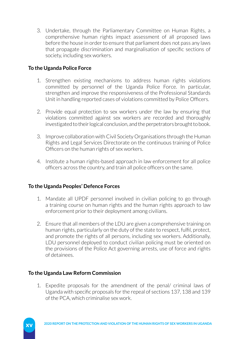3. Undertake, through the Parliamentary Committee on Human Rights, a comprehensive human rights impact assessment of all proposed laws before the house in order to ensure that parliament does not pass any laws that propagate discrimination and marginalisation of specific sections of society, including sex workers.

### **To the Uganda Police Force**

- 1. Strengthen existing mechanisms to address human rights violations committed by personnel of the Uganda Police Force. In particular, strengthen and improve the responsiveness of the Professional Standards Unit in handling reported cases of violations committed by Police Officers.
- 2. Provide equal protection to sex workers under the law by ensuring that violations committed against sex workers are recorded and thoroughly investigated to their logical conclusion, and the perpetrators brought to book.
- 3. Improve collaboration with Civil Society Organisations through the Human Rights and Legal Services Directorate on the continuous training of Police Officers on the human rights of sex workers.
- 4. Institute a human rights-based approach in law enforcement for all police officers across the country, and train all police officers on the same.

### **To the Uganda Peoples' Defence Forces**

- 1. Mandate all UPDF personnel involved in civilian policing to go through a training course on human rights and the human rights approach to law enforcement prior to their deployment among civilians.
- 2. Ensure that all members of the LDU are given a comprehensive training on human rights, particularly on the duty of the state to respect, fulfil, protect, and promote the rights of all persons, including sex workers. Additionally, LDU personnel deployed to conduct civilian policing must be oriented on the provisions of the Police Act governing arrests, use of force and rights of detainees.

### **To the Uganda Law Reform Commission**

1. Expedite proposals for the amendment of the penal/ criminal laws of Uganda with specific proposals for the repeal of sections 137, 138 and 139 of the PCA, which criminalise sex work.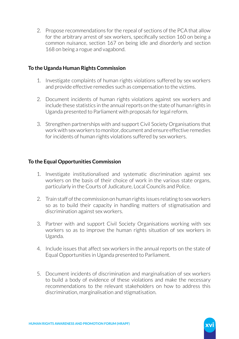2. Propose recommendations for the repeal of sections of the PCA that allow for the arbitrary arrest of sex workers, specifically section 160 on being a common nuisance, section 167 on being idle and disorderly and section 168 on being a rogue and vagabond.

### **To the Uganda Human Rights Commission**

- 1. Investigate complaints of human rights violations suffered by sex workers and provide effective remedies such as compensation to the victims.
- 2. Document incidents of human rights violations against sex workers and include these statistics in the annual reports on the state of human rights in Uganda presented to Parliament with proposals for legal reform.
- 3. Strengthen partnerships with and support Civil Society Organisations that work with sex workers to monitor, document and ensure effective remedies for incidents of human rights violations suffered by sex workers.

### **To the Equal Opportunities Commission**

- 1. Investigate institutionalised and systematic discrimination against sex workers on the basis of their choice of work in the various state organs, particularly in the Courts of Judicature, Local Councils and Police.
- 2. Train staff of the commission on human rights issues relating to sex workers so as to build their capacity in handling matters of stigmatisation and discrimination against sex workers.
- 3. Partner with and support Civil Society Organisations working with sex workers so as to improve the human rights situation of sex workers in Uganda.
- 4. Include issues that affect sex workers in the annual reports on the state of Equal Opportunities in Uganda presented to Parliament.
- 5. Document incidents of discrimination and marginalisation of sex workers to build a body of evidence of these violations and make the necessary recommendations to the relevant stakeholders on how to address this discrimination, marginalisation and stigmatisation.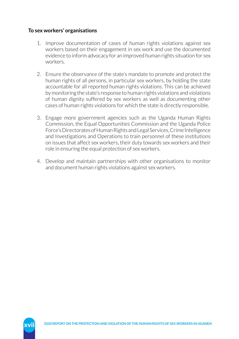### **To sex workers' organisations**

- 1. Improve documentation of cases of human rights violations against sex workers based on their engagement in sex work and use the documented evidence to inform advocacy for an improved human rights situation for sex workers.
- 2. Ensure the observance of the state's mandate to promote and protect the human rights of all persons, in particular sex workers, by holding the state accountable for all reported human rights violations. This can be achieved by monitoring the state's response to human rights violations and violations of human dignity suffered by sex workers as well as documenting other cases of human rights violations for which the state is directly responsible.
- 3. Engage more government agencies such as the Uganda Human Rights Commission, the Equal Opportunities Commission and the Uganda Police Force's Directorates of Human Rights and Legal Services, Crime Intelligence and Investigations and Operations to train personnel of these institutions on issues that affect sex workers, their duty towards sex workers and their role in ensuring the equal protection of sex workers.
- 4. Develop and maintain partnerships with other organisations to monitor and document human rights violations against sex workers.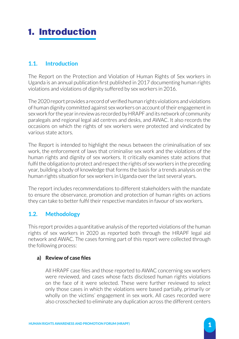# 1. Introduction

# **1.1. Introduction**

The Report on the Protection and Violation of Human Rights of Sex workers in Uganda is an annual publication first published in 2017 documenting human rights violations and violations of dignity suffered by sex workers in 2016.

The 2020 report provides a record of verified human rights violations and violations of human dignity committed against sex workers on account of their engagement in sex work for the year in review as recorded by HRAPF and its network of community paralegals and regional legal aid centres and desks, and AWAC. It also records the occasions on which the rights of sex workers were protected and vindicated by various state actors.

The Report is intended to highlight the nexus between the criminalisation of sex work, the enforcement of laws that criminalise sex work and the violations of the human rights and dignity of sex workers. It critically examines state actions that fulfil the obligation to protect and respect the rights of sex workers in the preceding year, building a body of knowledge that forms the basis for a trends analysis on the human rights situation for sex workers in Uganda over the last several years.

The report includes recommendations to different stakeholders with the mandate to ensure the observance, promotion and protection of human rights on actions they can take to better fulfil their respective mandates in favour of sex workers.

# **1.2. Methodology**

This report provides a quantitative analysis of the reported violations of the human rights of sex workers in 2020 as reported both through the HRAPF legal aid network and AWAC. The cases forming part of this report were collected through the following process:

### **a) Review of case files**

All HRAPF case files and those reported to AWAC concerning sex workers were reviewed, and cases whose facts disclosed human rights violations on the face of it were selected. These were further reviewed to select only those cases in which the violations were based partially, primarily or wholly on the victims' engagement in sex work. All cases recorded were also crosschecked to eliminate any duplication across the different centers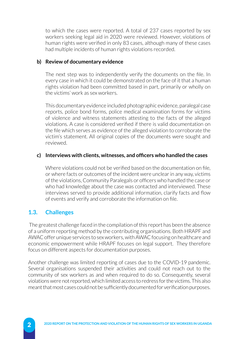to which the cases were reported. A total of 237 cases reported by sex workers seeking legal aid in 2020 were reviewed. However, violations of human rights were verified in only 83 cases, although many of these cases had multiple incidents of human rights violations recorded.

### **b) Review of documentary evidence**

The next step was to independently verify the documents on the file. In every case in which it could be demonstrated on the face of it that a human rights violation had been committed based in part, primarily or wholly on the victims' work as sex workers.

This documentary evidence included photographic evidence, paralegal case reports, police bond forms, police medical examination forms for victims of violence and witness statements attesting to the facts of the alleged violations. A case is considered verified if there is valid documentation on the file which serves as evidence of the alleged violation to corroborate the victim's statement. All original copies of the documents were sought and reviewed.

### **c) Interviews with clients, witnesses, and officers who handled the cases**

Where violations could not be verified based on the documentation on file. or where facts or outcomes of the incident were unclear in any way, victims of the violations, Community Paralegals or officers who handled the case or who had knowledge about the case was contacted and interviewed. These interviews served to provide additional information, clarify facts and flow of events and verify and corroborate the information on file.

# **1.3. Challenges**

 The greatest challenge faced in the compilation of this report has been the absence of a uniform reporting method by the contributing organisations. Both HRAPF and AWAC offer unique services to sex workers, with AWAC focusing on healthcare and economic empowerment while HRAPF focuses on legal support. They therefore focus on different aspects for documentation purposes.

Another challenge was limited reporting of cases due to the COVID-19 pandemic. Several organisations suspended their activities and could not reach out to the community of sex workers as and when required to do so. Consequently, several violations were not reported, which limited access to redress for the victims. This also meant that most cases could not be sufficiently documented for verification purposes.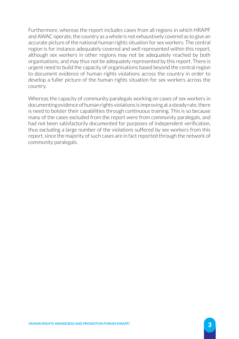Furthermore, whereas the report includes cases from all regions in which HRAPF and AWAC operate, the country as a whole is not exhaustively covered as to give an accurate picture of the national human rights situation for sex workers. The central region is for instance adequately covered and well represented within this report, although sex workers in other regions may not be adequately reached by both organisations, and may thus not be adequately represented by this report. There is urgent need to build the capacity of organisations based beyond the central region to document evidence of human rights violations across the country in order to develop a fuller picture of the human rights situation for sex workers across the country.

Whereas the capacity of community paralegals working on cases of sex workers in documenting evidence of human rights violations is improving at a steady rate, there is need to bolster their capabilities through continuous training. This is so because many of the cases excluded from the report were from community paralegals, and had not been satisfactorily documented for purposes of independent verification, thus excluding a large number of the violations suffered by sex workers from this report, since the majority of such cases are in fact reported through the network of community paralegals.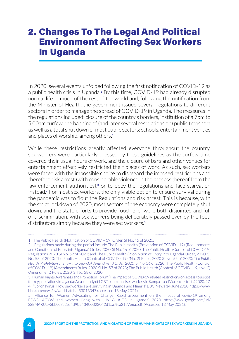# 2. Changes To The Legal And Political Environment Affecting Sex Workers In Uganda

In 2020, several events unfolded following the first notification of COVID-19 as a public health crisis in Uganda.**1** By this time, COVID-19 had already disrupted normal life in much of the rest of the world and, following the notification from the Minister of Health, the government issued several regulations to different sectors in order to manage the spread of COVID-19 in Uganda. The measures in the regulations included: closure of the country's borders, institution of a 7pm to 5.00am curfew, the banning of (and later several restrictions on) public transport as well as a total shut down of most public sectors: schools, entertainment venues and places of worship, among others.**<sup>2</sup>**

While these restrictions greatly affected everyone throughout the country, sex workers were particularly pressed by these guidelines as the curfew time covered their usual hours of work, and the closure of bars and other venues for entertainment effectively restricted their places of work. As such, sex workers were faced with the impossible choice to disregard the imposed restrictions and therefore risk arrest (with considerable violence in the process thereof from the law enforcement authorities),**3** or to obey the regulations and face starvation instead.**4** For most sex workers, the only viable option to ensure survival during the pandemic was to flout the Regulations and risk arrest. This is because, with the strict lockdown of 2020, most sectors of the economy were completely shut down, and the state efforts to provide food relief were both disjointed and full of discrimination, with sex workers being deliberately passed over by the food distributors simply because they were sex workers.**<sup>5</sup>**

<sup>1</sup> The Public Health (Notification of COVID – 19) Order, SI No. 45 of 2020.

<sup>2</sup> Regulations made during the period include The Public Health (Prevention of COVID - 19) (Requirements and Conditions of Entry into Uganda) Order, 2020, SI No. 46 of 2020; The Public Health (Control of COVID-19) Regulations 2020 SI No. 52 of 2020; and The Public Health (Prohibition of Entry into Uganda) Order, 2020, SI No. 53 of 2020; The Public Health (Control of COVID - 19) (No. 2) Rules, 2020 SI No. 55 of 2020; *The Public Health (Prohibition of Entry into Uganda) (Amendment) Order, 2020* SI No. 56 of 2020; The Public Health (Control of COVID - 19) (Amendment) Rules, 2020 SI No. 57 of 2020; The Public Health (Control of COVID - 19) (No. 2) (Amendment) Rules, 2020, SI No. 58 of 2020.

<sup>3</sup> Human Rights Awareness and Promotion Forum 'The impact of COVID-19 related restrictions on access to justice for key populations in Uganda: A case study of LGBT people and sex workers in Kampala and Wakiso districts', 2020, 27. 4 'Coronavirus: How sex workers are surviving in Uganda and Nigeria' BBC News 14 June2020 [https://www.](https://www.bbc.com/news/av/world-africa-53013047) [bbc.com/news/av/world-africa-53013047](https://www.bbc.com/news/av/world-africa-53013047).(accessed 13 May 2021).

<sup>5</sup> Alliance for Women Advocating for Change 'Rapid assessment on the impact of covid-19 among FSWS, AGYW and women living with HIV & AIDS in Uganda' 2020 [https://www.google.com/url/](https://www.google.com/url/SSEMAKULASbb0a7a2ea4d90543400023042d1aa7fca2177e6a.pdf) [SSEMAKULASbb0a7a2ea4d90543400023042d1aa7fca2177e6a.pdf](https://www.google.com/url/SSEMAKULASbb0a7a2ea4d90543400023042d1aa7fca2177e6a.pdf) (Accessed 13 May 2021).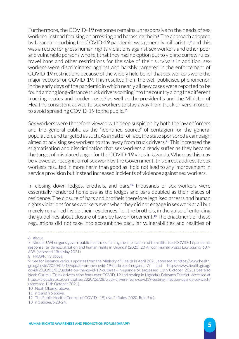Furthermore, the COVID-19 response remains unresponsive to the needs of sex workers, instead focusing on arresting and harassing them.**6** The approach adopted by Uganda in curbing the COVID-19 pandemic was generally militaristic,**7** and this was a recipe for gross human rights violations against sex workers and other poor and vulnerable persons who felt that they had no option but to violate curfew rules, travel bans and other restrictions for the sake of their survival.**8** In addition, sex workers were discriminated against and harshly targeted in the enforcement of COVID-19 restrictions because of the widely held belief that sex workers were the major vectors for COVID-19. This resulted from the well-publicised phenomenon in the early days of the pandemic in which nearly all new cases were reported to be found among long-distance truck drivers coming into the country along the different trucking routes and border posts,**9** as well as the president's and the Minister of Health's consistent advice to sex workers to stay away from truck drivers in order to avoid spreading COVID-19 to the public.**<sup>10</sup>**

Sex workers were therefore viewed with deep suspicion by both the law enforcers and the general public as the "identified source" of contagion for the general population, and targeted as such. As a matter of fact, the state sponsored a campaign aimed at advising sex workers to stay away from truck drivers.**11** This increased the stigmatisation and discrimination that sex workers already suffer as they became the target of misplaced anger for the COVID-19 virus in Uganda. Whereas this may be viewed as recognition of sex work by the Government, this direct address to sex workers resulted in more harm than good as it did not lead to any improvement in service provision but instead increased incidents of violence against sex workers.

In closing down lodges, brothels, and bars,**12** thousands of sex workers were essentially rendered homeless as the lodges and bars doubled as their places of residence. The closure of bars and brothels therefore legalised arrests and human rights violations for sex workers even when they did not engage in sex work at all but merely remained inside their residences, i.e., the brothels, in the guise of enforcing the guidelines about closure of bars by law enforcement.**13** The enactment of these regulations did not take into account the peculiar vulnerabilities and realities of

13 n 3 above, p 23-24.

<sup>6</sup> Above.

<sup>7</sup> Nkuubi J, When guns govern public health: Examining the implications of the militarised COVID-19 pandemic response for democratisation and human rights in Uganda' (2020) 20 *African Human Rights Law Journal* 607- 639. (accessed 13th May 2021).

<sup>8</sup> HRAPF, n 3 above.

<sup>9</sup> See for instance various updates from the Ministry of Health in April 2021, accessed at [https://www.health.](https://www.health.go.ug/covid/2020/05/18/update-on-the-covid-19-outbreak-in-uganda-7/) [go.ug/covid/2020/05/18/update-on-the-covid-19-outbreak-in-uganda-7/](https://www.health.go.ug/covid/2020/05/18/update-on-the-covid-19-outbreak-in-uganda-7/) and [https://www.health.go.ug/](https://www.health.go.ug/covid/2020/05/05/update-on-the-covid-19-outbreak-in-uganda-6/) [covid/2020/05/05/update-on-the-covid-19-outbreak-in-uganda-6/](https://www.health.go.ug/covid/2020/05/05/update-on-the-covid-19-outbreak-in-uganda-6/), (accessed 11th October 2021) See also Noah Okumu, 'Truck drivers raise fears over COVID-19 and testing in Uganda's Pakwach District', accessed at <https://blogs.lse.ac.uk/africaatlse/2020/06/28/truck-drivers-fears-covid19-testing-infection-uganda-pakwach/> (accessed 11th October 2021).

<sup>10</sup> Noah Okumu, above.

<sup>11</sup> n 3 and n 5 above.

<sup>12</sup> The Public Health (Control of COVID - 19) (No.2) Rules, 2020. Rule 5 (c).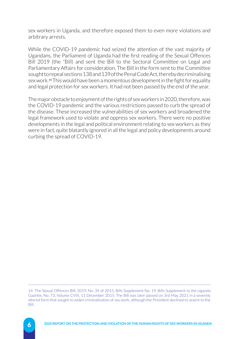sex workers in Uganda, and therefore exposed them to even more violations and arbitrary arrests.

While the COVID-19 pandemic had seized the attention of the vast majority of Ugandans, the Parliament of Uganda had the first reading of the Sexual Offences Bill 2019 (the "Bill) and sent the Bill to the Sectoral Committee on Legal and Parliamentary Affairs for consideration. The Bill in the form sent to the Committee sought to repeal sections 138 and 139 of the Penal Code Act, thereby decriminalising sex work.**14** This would have been a momentous development in the fight for equality and legal protection for sex workers. It had not been passed by the end of the year.

The major obstacle to enjoyment of the rights of sex workers in 2020, therefore, was the COVID-19 pandemic and the various restrictions passed to curb the spread of the disease. These increased the vulnerabilities of sex workers and broadened the legal framework used to violate and oppress sex workers. There were no positive developments in the legal and political environment relating to sex workers as they were in fact, quite blatantly ignored in all the legal and policy developments around curbing the spread of COVID-19.

<sup>14</sup> The Sexual Offences Bill, 2019, No. 35 of 2015, Bills Supplement No. 19, Bills Supplement to the Uganda Gazette, No. 73, Volume CVIII, 11 December 2015. The Bill was later passed on 3rd May 2021 in a severely altered form that sought to widen criminalisation of sex work, although the President declined to assent to the Bill.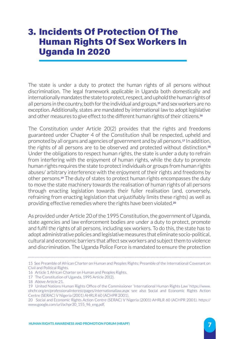# 3. Incidents Of Protection Of The Human Rights Of Sex Workers In Uganda In 2020

The state is under a duty to protect the human rights of all persons without discrimination. The legal framework applicable in Uganda both domestically and internationally mandates the state to protect, respect, and uphold the human rights of all persons in the country, both for the individual and groups,**15** and sex workers are no exception. Additionally, states are mandated by international law to adopt legislative and other measures to give effect to the different human rights of their citizens.**<sup>16</sup>**

The Constitution under Article 20(2) provides that the rights and freedoms guaranteed under Chapter 4 of the Constitution shall be respected, upheld and promoted by all organs and agencies of government and by all persons.**17** In addition, the rights of all persons are to be observed and protected without distinction.**<sup>18</sup>** Under the obligations to respect human rights, the state is under a duty to refrain from interfering with the enjoyment of human rights, while the duty to promote human rights requires the state to protect individuals or groups from human rights abuses/ arbitrary interference with the enjoyment of their rights and freedoms by other persons.**19** The duty of states to protect human rights encompasses the duty to move the state machinery towards the realisation of human rights of all persons through enacting legislation towards their fuller realisation (and, conversely, refraining from enacting legislation that unjustifiably limits these rights) as well as providing effective remedies where the rights have been violated.**<sup>20</sup>**

As provided under Article 20 of the 1995 Constitution, the government of Uganda, state agencies and law enforcement bodies are under a duty to protect, promote and fulfil the rights of all persons, including sex workers. To do this, the state has to adopt administrative policies and legislative measures that eliminate socio-political, cultural and economic barriers that affect sex workers and subject them to violence and discrimination. The Uganda Police Force is mandated to ensure the protection

<sup>15</sup> See Preamble of African Charter on Human and Peoples Rights; Preamble of the International Covenant on Civil and Political Rights.

<sup>16</sup> Article 1 African Charter on Human and Peoples Rights.

<sup>17</sup> The Constitution of Uganda, 1995 Article 20(2).

<sup>18</sup> Above Article 21.

<sup>19</sup> United Nations Human Rights Office of the Commissioner 'International Human Rights Law' [https://www.](https://www.ohchr.org/en/professionalinterest/pages/internationallaw.aspx) [ohchr.org/en/professionalinterest/pages/internationallaw.aspx](https://www.ohchr.org/en/professionalinterest/pages/internationallaw.aspx) see also Social and Economic Rights Action Centre (SERAC) V Nigeria (2001) AHRLR 60 (ACHPR 2001).

<sup>20</sup> Social and Economic Rights Action Centre (SERAC) V Nigeria (2001) AHRLR 60 (ACHPR 2001). [https://](https://www.google.com/url/achpr30_155_96_eng.pdf) [www.google.com/url/achpr30\\_155\\_96\\_eng.pdf.](https://www.google.com/url/achpr30_155_96_eng.pdf)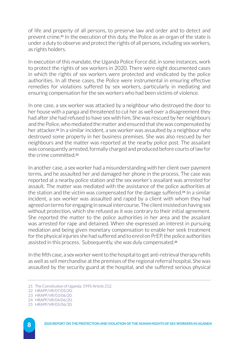of life and property of all persons, to preserve law and order and to detect and prevent crime.**21** In the execution of this duty, the Police as an organ of the state is under a duty to observe and protect the rights of all persons, including sex workers, as rights holders.

In execution of this mandate, the Uganda Police Force did, in some instances, work to protect the rights of sex workers in 2020. There were eight documented cases in which the rights of sex workers were protected and vindicated by the police authorities. In all these cases, the Police were instrumental in ensuring effective remedies for violations suffered by sex workers, particularly in mediating and ensuring compensation for the sex workers who had been victims of violence.

In one case, a sex worker was attacked by a neighbour who destroyed the door to her house with a panga and threatened to cut her as well over a disagreement they had after she had refused to have sex with him. She was rescued by her neighbours and the Police, who mediated the matter and ensured that she was compensated by her attacker.**22** In a similar incident, a sex worker was assaulted by a neighbour who destroyed some property in her business premises. She was also rescued by her neighbours and the matter was reported at the nearby police post. The assailant was consequently arrested, formally charged and produced before courts of law for the crime committed.**<sup>23</sup>**

In another case, a sex worker had a misunderstanding with her client over payment terms, and he assaulted her and damaged her phone in the process. The case was reported at a nearby police station and the sex worker's assailant was arrested for assault. The matter was mediated with the assistance of the police authorities at the station and the victim was compensated for the damage suffered.**24** In a similar incident, a sex worker was assaulted and raped by a client with whom they had agreed on terms for engaging in sexual intercourse. The client insisted on having sex without protection, which she refused as it was contrary to their initial agreement. She reported the matter to the police authorities in her area and the assailant was arrested for rape and detained. When she expressed an interest in pursuing mediation and being given monetary compensation to enable her seek treatment for the physical injuries she had suffered and to enrol on PrEP, the police authorities assisted in this process. Subsequently, she was duly compensated.**<sup>25</sup>**

In the fifth case, a sex worker went to the hospital to get anti-retrieval therapy refills as well as sell merchandise at the premises of the regional referral hospital. She was assaulted by the security guard at the hospital, and she suffered serious physical

<sup>21</sup> The Constitution of Uganda, 1995 Article 212.

<sup>22</sup> HRAPF/VR/07/05/20.

<sup>23</sup> HRAPF/VR/03/06/20.

<sup>24</sup> HRAPF/VR/04/06/20.

<sup>25</sup> HRAPF/VR/05/06/20.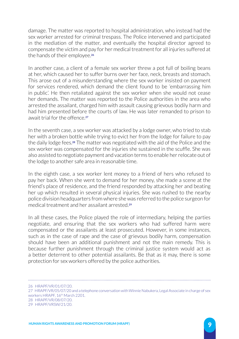damage. The matter was reported to hospital administration, who instead had the sex worker arrested for criminal trespass. The Police intervened and participated in the mediation of the matter, and eventually the hospital director agreed to compensate the victim and pay for her medical treatment for all injuries suffered at the hands of their employee.**<sup>26</sup>**

In another case, a client of a female sex worker threw a pot full of boiling beans at her, which caused her to suffer burns over her face, neck, breasts and stomach. This arose out of a misunderstanding where the sex worker insisted on payment for services rendered, which demand the client found to be 'embarrassing him in public'. He then retaliated against the sex worker when she would not cease her demands. The matter was reported to the Police authorities in the area who arrested the assailant, charged him with assault causing grievous bodily harm and had him presented before the courts of law. He was later remanded to prison to await trial for the offence<sup>27</sup>

In the seventh case, a sex worker was attacked by a lodge owner, who tried to stab her with a broken bottle while trying to evict her from the lodge for failure to pay the daily lodge fees.**28** The matter was negotiated with the aid of the Police and the sex worker was compensated for the injuries she sustained in the scuffle. She was also assisted to negotiate payment and vacation terms to enable her relocate out of the lodge to another safe area in reasonable time.

In the eighth case, a sex worker lent money to a friend of hers who refused to pay her back. When she went to demand for her money, she made a scene at the friend's place of residence, and the friend responded by attacking her and beating her up which resulted in several physical injuries. She was rushed to the nearby police division headquarters from where she was referred to the police surgeon for medical treatment and her assailant arrested.**<sup>29</sup>**

In all these cases, the Police played the role of intermediary, helping the parties negotiate, and ensuring that the sex workers who had suffered harm were compensated or the assailants at least prosecuted. However, in some instances, such as in the case of rape and the case of grievous bodily harm, compensation should have been an additional punishment and not the main remedy. This is because further punishment through the criminal justice system would act as a better deterrent to other potential assailants. Be that as it may, there is some protection for sex workers offered by the police authorities.

26 HRAPF/VR/01/07/20. 27 HRAPF/VR/05/07/20 and a telephone conversation with Winnie Nabukera, Legal Associate in charge of sex workers HRAPF, 16<sup>th</sup> March 2201. 28 HRAPF/VR/08/07/20. 29 HRAPF/VRSW/21/20.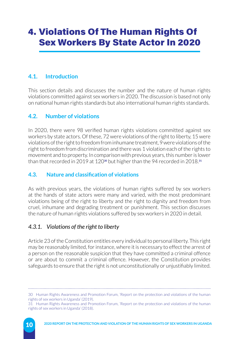# 4. Violations Of The Human Rights Of Sex Workers By State Actor In 2020

# **4.1. Introduction**

This section details and discusses the number and the nature of human rights violations committed against sex workers in 2020. The discussion is based not only on national human rights standards but also international human rights standards.

# **4.2. Number of violations**

In 2020, there were 98 verified human rights violations committed against sex workers by state actors. Of these, 72 were violations of the right to liberty, 15 were violations of the right to freedom from inhumane treatment, 9 were violations of the right to freedom from discrimination and there was 1 violation each of the rights to movement and to property. In comparison with previous years, this number is lower than that recorded in 2019 at 120**30** but higher than the 94 recorded in 2018.**<sup>31</sup>**

# **4.3. Nature and classification of violations**

As with previous years, the violations of human rights suffered by sex workers at the hands of state actors were many and varied, with the most predominant violations being of the right to liberty and the right to dignity and freedom from cruel, inhumane and degrading treatment or punishment. This section discusses the nature of human rights violations suffered by sex workers in 2020 in detail.

# *4.3.1. Violations of the right to liberty*

Article 23 of the Constitution entitles every individual to personal liberty. This right may be reasonably limited, for instance, where it is necessary to effect the arrest of a person on the reasonable suspicion that they have committed a criminal offence or are about to commit a criminal offence. However, the Constitution provides safeguards to ensure that the right is not unconstitutionally or unjustifiably limited.

<sup>30</sup> Human Rights Awareness and Promotion Forum, 'Report on the protection and violations of the human rights of sex workers in Uganda' (2019).

<sup>31</sup> Human Rights Awareness and Promotion Forum, 'Report on the protection and violations of the human rights of sex workers in Uganda' (2018).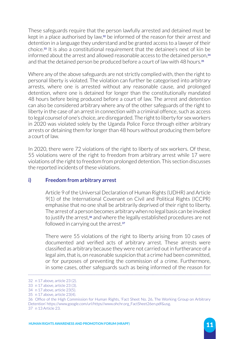These safeguards require that the person lawfully arrested and detained must be kept in a place authorised by law,**32** be informed of the reason for their arrest and detention in a language they understand and be granted access to a lawyer of their choice.**33** It is also a constitutional requirement that the detainee's next of kin be informed about the arrest and allowed reasonable access to the detained person,**<sup>34</sup>** and that the detained person be produced before a court of law with 48 hours.**<sup>35</sup>**

Where any of the above safeguards are not strictly complied with, then the right to personal liberty is violated. The violation can further be categorised into arbitrary arrests, where one is arrested without any reasonable cause, and prolonged detention, where one is detained for longer than the constitutionally mandated 48 hours before being produced before a court of law. The arrest and detention can also be considered arbitrary where any of the other safeguards of the right to liberty in the case of an arrest in connection with a criminal offence, such as access to legal counsel of one's choice, are disregarded. The right to liberty for sex workers in 2020 was violated solely by the Uganda Police Force through either arbitrary arrests or detaining them for longer than 48 hours without producing them before a court of law.

In 2020, there were 72 violations of the right to liberty of sex workers. Of these, 55 violations were of the right to freedom from arbitrary arrest while 17 were violations of the right to freedom from prolonged detention. This section discusses the reported incidents of these violations.

### **i) Freedom from arbitrary arrest**

Article 9 of the Universal Declaration of Human Rights (UDHR) and Article 9(1) of the International Covenant on Civil and Political Rights (ICCPR) emphasise that no one shall be arbitrarily deprived of their right to liberty. The arrest of a person becomes arbitrary when no legal basis can be invoked to justify the arrest,**36** and where the legally established procedures are not followed in carrying out the arrest.**<sup>37</sup>**

There were 55 violations of the right to liberty arising from 10 cases of documented and verified acts of arbitrary arrest. These arrests were classified as arbitrary because they were not carried out in furtherance of a legal aim, that is, on reasonable suspicion that a crime had been committed, or for purposes of preventing the commission of a crime. Furthermore, in some cases, other safeguards such as being informed of the reason for

<sup>32</sup> n 17 above, article 23 (2).

<sup>33</sup> n 17 above, article 23 (3).

<sup>34</sup> n 17 above, article 23(5).

<sup>35</sup> n 17 above, article 23(4).

<sup>36</sup> Office of the High Commission for Human Rights, 'Fact Sheet No. 26, The Working Group on Arbitrary Detention' [https://www.google.com/url/https//www.ohchr.org\\_FactSheet26en.pdf&usg](https://www.google.com/url/https//www.ohchr.org_FactSheet26en.pdf&usg). 37 n 13 Article 23.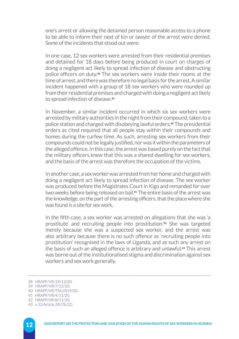one's arrest or allowing the detained person reasonable access to a phone to be able to inform their next of kin or lawyer of the arrest were denied. Some of the incidents that stood out were:

In one case, 12 sex workers were arrested from their residential premises and detained for 18 days before being produced in court on charges of doing a negligent act likely to spread infection of disease and obstructing police officers on duty.**38** The sex workers were inside their rooms at the time of arrest, and there was therefore no legal basis for the arrest. A similar incident happened with a group of 18 sex workers who were rounded up from their residential premises and charged with doing a negligent act likely to spread infection of disease.**<sup>39</sup>**

In November, a similar incident occurred in which six sex workers were arrested by military authorities in the night from their compound, taken to a police station and charged with disobeying lawful orders.**40** The presidential orders as cited required that all people stay within their compounds and homes during the curfew time. As such, arresting sex workers from their compounds could not be legally justified, nor was it within the parameters of the alleged offence. In this case, the arrest was based purely on the fact that the military officers knew that this was a shared dwelling for sex workers, and the basis of the arrest was therefore the occupation of the victims.

In another case, a sex worker was arrested from her home and charged with doing a negligent act likely to spread infection of disease. The sex worker was produced before the Magistrates Court in Kigo and remanded for over two weeks before being released on bail.**41** The entire basis of the arrest was the knowledge, on the part of the arresting officers, that the place where she was found is a site for sex work.

In the fifth case, a sex worker was arrested on allegations that she was 'a prostitute' and recruiting people into prostitution.'**42** She was targeted merely because she was a suspected sex worker, and the arrest was also arbitrary because there is no such offence as 'recruiting people into prostitution' recognised in the laws of Uganda, and as such any arrest on the basis of such an alleged offence is arbitrary and unlawful.**43** This arrest was borne out of the institutionalised stigma and discrimination against sex workers and sex work generally.

<sup>38</sup> HRAPF/VR/19/12/20.

<sup>39</sup> HRAPF/VR/7/12/20.

<sup>40</sup> HRAPF/VR/TNU/019/20.

<sup>41</sup> HRAPF/VR/4/11/20.

<sup>42</sup> HRAPF/VR/8/11/20.

<sup>43</sup> n 13 Article 28 (7&12).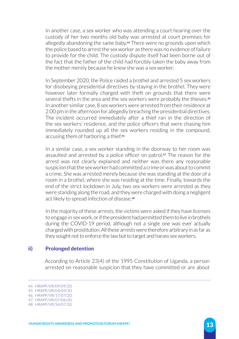In another case, a sex worker who was attending a court hearing over the custody of her two months old baby was arrested at court premises for allegedly abandoning the same baby.**44** There were no grounds upon which the police based to arrest the sex worker as there was no evidence of failure to provide for the child. The custody dispute itself had been borne out of the fact that the father of the child had forcibly taken the baby away from the mother merely because he knew she was a sex worker.

In September 2020, the Police raided a brothel and arrested 5 sex workers for disobeying presidential directives by staying in the brothel. They were however later formally charged with theft on grounds that there were several thefts in the area and the sex workers were probably the thieves.**<sup>45</sup>** In another similar case, 8 sex workers were arrested from their residence at 2:00 pm in the afternoon for allegedly breaching the presidential directives. The incident occurred immediately after a thief ran in the direction of the sex workers' residence, and the police officers that were chasing him immediately rounded up all the sex workers residing in the compound, accusing them of harboring a thief.**<sup>46</sup>**

In a similar case, a sex worker standing in the doorway to her room was assaulted and arrested by a police officer on patrol.**47** The reason for the arrest was not clearly explained and neither was there any reasonable suspicion that the sex worker had committed a crime or was about to commit a crime. She was arrested merely because she was standing at the door of a room in a brothel, where she was residing at the time. Finally, towards the end of the strict lockdown in July, two sex workers were arrested as they were standing along the road, and they were charged with doing a negligent act likely to spread infection of disease.**<sup>48</sup>**

In the majority of these arrests, the victims were asked if they have licenses to engage in sex work, or if the president had permitted them to live in brothels during the COVID-19 period, although not a single one was ever actually charged with prostitution. All these arrests were therefore arbitrary in as far as they sought not to enforce the law but to target and harass sex workers.

#### **ii) Prolonged detention**

According to Article 23(4) of the 1995 Constitution of Uganda, a person arrested on reasonable suspicion that they have committed or are about

<sup>44</sup> HRAPF/VR/09/09/20.

<sup>45</sup> HRAPF/VR/04/09/20. 46 HRAPF/VR/17/07/20.

<sup>47</sup> HRAPF/VR/07/06/20.

<sup>48</sup> HRAPF/VR/34/07/20.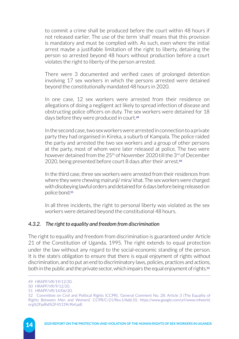to commit a crime shall be produced before the court within 48 hours if not released earlier. The use of the term 'shall' means that this provision is mandatory and must be complied with. As such, even where the initial arrest maybe a justifiable limitation of the right to liberty, detaining the person so arrested beyond 48 hours without production before a court violates the right to liberty of the person arrested.

There were 3 documented and verified cases of prolonged detention involving 17 sex workers in which the persons arrested were detained beyond the constitutionally mandated 48 hours in 2020.

In one case, 12 sex workers were arrested from their residence on allegations of doing a negligent act likely to spread infection of disease and obstructing police officers on duty. The sex workers were detained for 18 days before they were produced in court.**<sup>49</sup>**

In the second case, two sex workers were arrested in connection to a private party they had organised in Kireka, a suburb of Kampala. The police raided the party and arrested the two sex workers and a group of other persons at the party, most of whom were later released at police. The two were however detained from the 25<sup>th</sup> of November 2020 till the 3<sup>rd</sup> of December 2020, being presented before court 8 days after their arrest.**<sup>50</sup>**

In the third case, three sex workers were arrested from their residences from where they were chewing mairunji/ mira/ khat. The sex workers were charged with disobeying lawful orders and detained for 6 days before being released on police bond.**<sup>51</sup>**

In all three incidents, the right to personal liberty was violated as the sex workers were detained beyond the constitutional 48 hours.

### *4.3.2. The right to equality and freedom from discrimination*

The right to equality and freedom from discrimination is guaranteed under Article 21 of the Constitution of Uganda, 1995. The right extends to equal protection under the law without any regard to the social-economic standing of the person. It is the state's obligation to ensure that there is equal enjoyment of rights without discrimination, and to put an end to discriminatory laws, policies, practices and actions, both in the public and the private sector, which impairs the equal enjoyment of rights.**<sup>52</sup>** 

<sup>49</sup> HRAPF/VR/19/12/20.

<sup>50</sup> HRAPF/VR/9/12/20.

<sup>51</sup> HRAPF/VR/14/06/20.

<sup>52</sup> Committee on Civil and Political Rights (CCPR), 'General Comment No. 28: Article 3 (The Equality of Rights Between Men and Women)' CCPR/C/21/Rev.1/Add.10. [https://www.google.com/url/www.refworld.](https://www.google.com/url/www.refworld.org%2Fpdfid%2F45139c9b4.pdf) [org%2Fpdfid%2F45139c9b4.pdf](https://www.google.com/url/www.refworld.org%2Fpdfid%2F45139c9b4.pdf).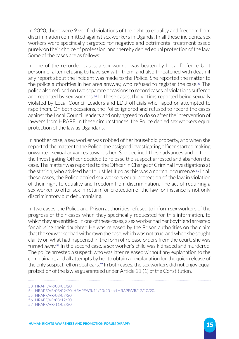In 2020, there were 9 verified violations of the right to equality and freedom from discrimination committed against sex workers in Uganda. In all these incidents, sex workers were specifically targeted for negative and detrimental treatment based purely on their choice of profession, and thereby denied equal protection of the law. Some of the cases are as follows:

In one of the recorded cases, a sex worker was beaten by Local Defence Unit personnel after refusing to have sex with them, and also threatened with death if any report about the incident was made to the Police. She reported the matter to the police authorities in her area anyway, who refused to register the case.**53** The police also refused on two separate occasions to record cases of violations suffered and reported by sex workers.**54** In these cases, the victims reported being sexually violated by Local Council Leaders and LDU officials who raped or attempted to rape them. On both occasions, the Police ignored and refused to record the cases against the Local Council leaders and only agreed to do so after the intervention of lawyers from HRAPF. In these circumstances, the Police denied sex workers equal protection of the law as Ugandans.

In another case, a sex worker was robbed of her household property, and when she reported the matter to the Police, the assigned investigating officer started making unwanted sexual advances towards her. She declined these advances and in turn, the Investigating Officer decided to release the suspect arrested and abandon the case. The matter was reported to the Officer in Charge of Criminal Investigations at the station, who advised her to just let it go as this was a normal occurrence.**55** In all these cases, the Police denied sex workers equal protection of the law in violation of their right to equality and freedom from discrimination. The act of requiring a sex worker to offer sex in return for protection of the law for instance is not only discriminatory but dehumanising.

In two cases, the Police and Prison authorities refused to inform sex workers of the progress of their cases when they specifically requested for this information, to which they are entitled. In one of these cases, a sex worker had her boyfriend arrested for abusing their daughter. He was released by the Prison authorities on the claim that the sex worker had withdrawn the case, which was not true, and when she sought clarity on what had happened in the form of release orders from the court, she was turned away.**56** In the second case, a sex worker's child was kidnaped and murdered. The police arrested a suspect, who was later released without any explanation to the complainant, and all attempts by her to obtain an explanation for the quick release of the only suspect fell on deaf ears.**57** In both cases, the sex workers did not enjoy equal protection of the law as guaranteed under Article 21 (1) of the Constitution.

<sup>53</sup> HRAPF/VR/08/01/20.

<sup>54</sup> HRAPF/VR/03/09/20; HRAPF/VR/11/10/20 and HRAPF/VR/12/10/20.

<sup>55</sup> HRAPF/VR/03/07/20.

<sup>56</sup> HRAPF/VR/08/12/20.

<sup>57</sup> HRAPF/VR/11/08/20.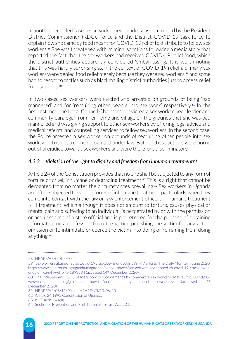In another recorded case, a sex worker peer leader was summoned by the Resident District Commissioner (RDC), Police and the District COVID-19 task force to explain how she came by food meant for COVID-19 relief to distribute to fellow sex workers.**58** She was threatened with criminal sanctions following a media story that reported the fact that the sex workers had received COVID-19 relief food, which the district authorities apparently considered 'embarrassing.' It is worth noting that this was hardly surprising as, in the context of COVID-19 relief aid, many sex workers were denied food relief merely because they were sex workers,**59** and some had to resort to tactics such as blackmailing district authorities just to access relief food supplies.**<sup>60</sup>**

In two cases, sex workers were evicted and arrested on grounds of being 'bad mannered' and for 'recruiting other people into sex work' respectively.**61** In the first instance, the Local Council Chairperson evicted a sex worker peer leader and community paralegal from her home and village on the grounds that she was bad mannered and was giving support to other sex workers by offering legal advice and medical referral and counselling services to fellow sex workers. In the second case, the Police arrested a sex worker on grounds of recruiting other people into sex work, which is not a crime recognised under law. Both of these actions were borne out of prejudice towards sex workers and were therefore discriminatory.

## *4.3.3. Violation of the right to dignity and freedom from inhuman treatmentnt*

Article 24 of the Constitution provides that no one shall be subjected to any form of torture or cruel, inhumane or degrading treatment.**62** This is a right that cannot be derogated from no matter the circumstances prevailing.**63** Sex workers in Uganda are often subjected to various forms of inhumane treatment, particularly when they come into contact with the law or law enforcement officers. Inhumane treatment is ill-treatment, which although it does not amount to torture, causes physical or mental pain and suffering to an individual, is perpetrated by or with the permission or acquiescence of a state official and is perpetrated for the purpose of obtaining information or a confession from the victim, punishing the victim for any act or omission or to intimidate or coerce the victim into doing or refraining from doing anything.**<sup>64</sup>**

<sup>58</sup> HRAPF/VR/02/05/20.

<sup>59 &#</sup>x27;Sex workers abandoned as Covid-19 crackdowns undo Africa's HIV efforts' The Daily Monitor 7 June 2020. [https://www.monitor.co.ug/uganda/magazines/people-power/sex-workers-abandoned-as-covid-19-crackdowns](https://www.monitor.co.ug/uganda/magazines/people-power/sex-workers-abandoned-as-covid-19-crackdowns-undo-africa-s-hiv-efforts-1893584)[undo-africa-s-hiv-efforts-1893584](https://www.monitor.co.ug/uganda/magazines/people-power/sex-workers-abandoned-as-covid-19-crackdowns-undo-africa-s-hiv-efforts-1893584) (accessed 14th December 2020).

<sup>60</sup> The Independent, "Gulu Leaders bow to food demands by commercial sex workers" May 13<sup>th</sup> 2020;[https://](https://www.independent.co.ug/gulu-leaders-bow-to-food-demands-by-commercial-sex-workers/) [www.independent.co.ug/gulu-leaders-bow-to-food-demands-by-commercial-sex-workers/](https://www.independent.co.ug/gulu-leaders-bow-to-food-demands-by-commercial-sex-workers/) (accessed 14th December 2020).

<sup>61</sup> HRAPF/VR/08/11/20 and HRAPF/VR/10/06/20.

<sup>62</sup> Article 24 1995 Constitution of Uganda.

<sup>63</sup> n 17, article 44(a).

<sup>64</sup> Section 7, Prevention and Prohibition of Torture Act, 2012.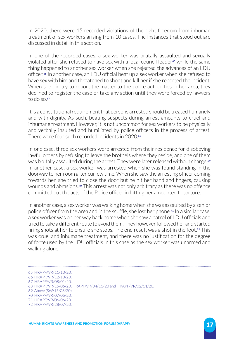In 2020, there were 15 recorded violations of the right freedom from inhuman treatment of sex workers arising from 10 cases. The instances that stood out are discussed in detail in this section.

In one of the recorded cases, a sex worker was brutally assaulted and sexually violated after she refused to have sex with a local council leader**65** while the same thing happened to another sex worker when she rejected the advances of an LDU officer.**66** In another case, an LDU official beat up a sex worker when she refused to have sex with him and threatened to shoot and kill her if she reported the incident. When she did try to report the matter to the police authorities in her area, they declined to register the case or take any action until they were forced by lawyers to do so.**<sup>67</sup>**

It is a constitutional requirement that persons arrested should be treated humanely and with dignity. As such, beating suspects during arrest amounts to cruel and inhumane treatment. However, it is not uncommon for sex workers to be physically and verbally insulted and humiliated by police officers in the process of arrest. There were four such recorded incidents in 2020.**<sup>68</sup>**

In one case, three sex workers were arrested from their residence for disobeying lawful orders by refusing to leave the brothels where they reside, and one of them was brutally assaulted during the arrest. They were later released without charge.**<sup>69</sup>** In another case, a sex worker was arrested when she was found standing in the doorway to her room after curfew time. When she saw the arresting officer coming towards her, she tried to close the door but he hit her hand and fingers, causing wounds and abrasions.**70** This arrest was not only arbitrary as there was no offence committed but the acts of the Police officer in hitting her amounted to torture.

In another case, a sex worker was walking home when she was assaulted by a senior police officer from the area and in the scuffle, she lost her phone.**71** In a similar case, a sex worker was on her way back home when she saw a patrol of LDU officials and tried to take a different route to avoid them. They however followed her and started firing shots at her to ensure she stops. The end result was a shot in the foot.**72** This was cruel and inhumane treatment, and there was no justification for the degree of force used by the LDU officials in this case as the sex worker was unarmed and walking alone.

<sup>65</sup> HRAPF/VR/11/10/20.

<sup>66</sup> HRAPF/VR/12/10/20.

<sup>67</sup> HRAPF/VR/08/01/20.

<sup>68</sup> HRAPF/VR/15/06/20, HRAPF/VR/04/11/20 and HRAPF/VR/02/11/20.

<sup>69</sup> Above (SW/15/06/20)

<sup>70</sup> HRAPF/VR/07/06/20.

<sup>71</sup> HRAPF/VR/06/06/20.

<sup>72</sup> HRAPF/VR/28/07/20.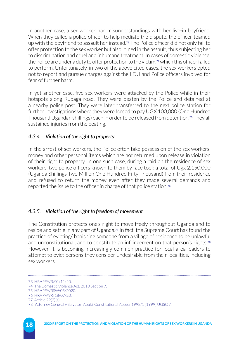In another case, a sex worker had misunderstandings with her live-in boyfriend. When they called a police officer to help mediate the dispute, the officer teamed up with the boyfriend to assault her instead.**73** The Police officer did not only fail to offer protection to the sex worker but also joined in the assault, thus subjecting her to discrimination and cruel and inhumane treatment. In cases of domestic violence, the Police are under a duty to offer protection to the victim,**74** which this officer failed to perform. Unfortunately, in two of the above cited cases, the sex workers opted not to report and pursue charges against the LDU and Police officers involved for fear of further harm.

In yet another case, five sex workers were attacked by the Police while in their hotspots along Rubaga road. They were beaten by the Police and detained at a nearby police post. They were later transferred to the next police station for further investigations where they were forced to pay UGX 100,000 (One Hundred Thousand Ugandan shillings) each in order to be released from detention.**75** They all sustained injuries from the beating.

### *4.3.4. Violation of the right to property*

In the arrest of sex workers, the Police often take possession of the sex workers' money and other personal items which are not returned upon release in violation of their right to property. In one such case, during a raid on the residence of sex workers, two police officers known to them by face took a total of Ugx 2,150,000 (Uganda Shillings Two Million One Hundred Fifty Thousand) from their residence and refused to return the money even after they made several demands and reported the issue to the officer in charge of that police station.**<sup>76</sup>**

### *4.3.5. Violation of the right to freedom of movement*

The Constitution protects one's right to move freely throughout Uganda and to reside and settle in any part of Uganda.**77** In fact, the Supreme Court has found the practice of evicting/ banishing someone from a village of residence to be unlawful and unconstitutional, and to constitute an infringement on that person's rights.**<sup>78</sup>** However, it is becoming increasingly common practice for local area leaders to attempt to evict persons they consider undesirable from their localities, including sex workers.

<sup>73</sup> HRAPF/VR/01/11/20.

<sup>74</sup> The Domestic Violence Act, 2010 Section 7.

<sup>75</sup> HRAPF/VRSW/05/2020.

<sup>76</sup> HRAPF/VR/18/07/20.

<sup>77</sup> Article 29(2)(a).

<sup>78</sup> Attorney General v Salvatori Abuki, Constitutional Appeal 1998/1 [1999] UGSC 7.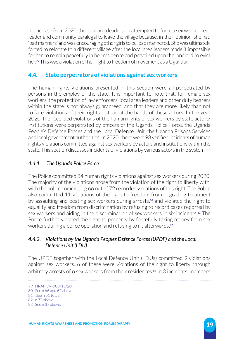In one case from 2020, the local area leadership attempted to force a sex worker peer leader and community paralegal to leave the village because, in their opinion, she had 'bad manners' and was encouraging other girls to be 'bad mannered.' She was ultimately forced to relocate to a different village after the local area leaders made it impossible for her to remain peacefully in her residence and prevailed upon the landlord to evict her.**79** This was a violation of her right to freedom of movement as a Ugandan.

# **4.4. State perpetrators of violations against sex workers**

The human rights violations presented in this section were all perpetrated by persons in the employ of the state. It is important to note that, for female sex workers, the protection of law enforcers, local area leaders and other duty bearers within the state is not always guaranteed, and that they are more likely than not to face violations of their rights instead at the hands of these actors. In the year 2020, the recorded violations of the human rights of sex workers by state actors/ institutions were perpetrated by officers of the Uganda Police Force, the Uganda People's Defence Forces and the Local Defence Unit, the Uganda Prisons Services and local government authorities. In 2020, there were 98 verified incidents of human rights violations committed against sex workers by actors and institutions within the state. This section discusses incidents of violations by various actors in the system.

### *4.4.1. The Uganda Police Force*

The Police committed 84 human rights violations against sex workers during 2020. The majority of the violations arose from the violation of the right to liberty with, with the police committing 66 out of 72 recorded violations of this right. The Police also committed 11 violations of the right to freedom from degrading treatment by assaulting and beating sex workers during arrests,**80** and violated the right to equality and freedom from discrimination by refusing to record cases reported by sex workers and aiding in the discrimination of sex workers in six incidents.**81** The Police further violated the right to property by forcefully taking money from sex workers during a police operation and refusing to rit afterwards.**<sup>82</sup>**

### *4.4.2. Violations by the Uganda Peoples Defence Forces (UPDF) and the Local Defence Unit (LDU)*

The UPDF together with the Local Defence Unit (LDUs) committed 9 violations against sex workers. 6 of these were violations of the right to liberty through arbitrary arrests of 6 sex workers from their residences.**83** In 3 incidents, members

<sup>79</sup> HRAPF/VR/08/11/20. 80 See n 66 and 67 above.

<sup>81</sup> See n 51 to 53. 82 n 77 above.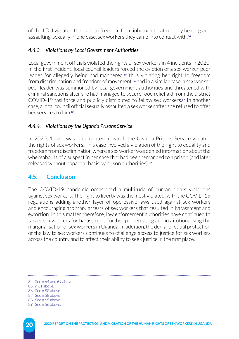of the LDU violated the right to freedom from inhuman treatment by beating and assaulting, sexually in one case, sex workers they came into contact with.**<sup>84</sup>**

# *4.4.3. Violations by Local Government Authorities*

Local government officials violated the rights of sex workers in 4 incidents in 2020. In the first incident, local council leaders forced the eviction of a sex worker peer leader for allegedly being bad mannered,**85** thus violating her right to freedom from discrimination and freedom of movement,**86** and in a similar case, a sex worker peer leader was summoned by local government authorities and threatened with criminal sanctions after she had managed to secure food relief aid from the district COVID-19 taskforce and publicly distributed to fellow sex workers.**87** In another case, a local council official sexually assaulted a sex worker after she refused to offer her services to him.**<sup>88</sup>**

## *4.4.4. Violations by the Uganda Prisons Service*

In 2020, 1 case was documented in which the Uganda Prisons Service violated the rights of sex workers. This case involved a violation of the right to equality and freedom from discrimination where a sex worker was denied information about the whereabouts of a suspect in her case that had been remanded to a prison (and later released without apparent basis by prison authorities).**<sup>89</sup>**

# **4.5. Conclusion**

The COVID-19 pandemic occasioned a multitude of human rights violations against sex workers. The right to liberty was the most violated, with the COVID-19 regulations adding another layer of oppressive laws used against sex workers and encouraging arbitrary arrests of sex workers that resulted in harassment and extortion. In this matter therefore, law enforcement authorities have continued to target sex workers for harassment, further perpetuating and institutionalising the marginalisation of sex workers in Uganda. In addition, the denial of equal protection of the law to sex workers continues to challenge access to justice for sex workers across the country and to affect their ability to seek justice in the first place.

88 See n 65 above.

<sup>84</sup> See n 64 and 69 above.

<sup>85</sup> n 61 above.

<sup>86</sup> See n 80 above.

<sup>87</sup> See n 58 above

<sup>89</sup> See n 56 above.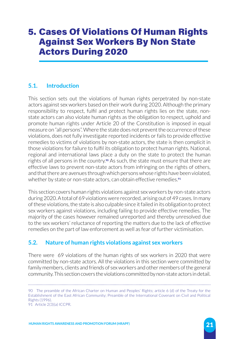# 5. Cases Of Violations Of Human Rights Against Sex Workers By Non State Actors During 2020

# **5.1. Introduction**

This section sets out the violations of human rights perpetrated by non-state actors against sex workers based on their work during 2020. Although the primary responsibility to respect, fulfil and protect human rights lies on the state, nonstate actors can also violate human rights as the obligation to respect, uphold and promote human rights under Article 20 of the Constitution is imposed in equal measure on "all persons". Where the state does not prevent the occurrence of these violations, does not fully investigate reported incidents or fails to provide effective remedies to victims of violations by non-state actors, the state is then complicit in those violations for failure to fulfil its obligation to protect human rights. National, regional and international laws place a duty on the state to protect the human rights of all persons in the country.**90** As such, the state must ensure that there are effective laws to prevent non-state actors from infringing on the rights of others, and that there are avenues through which persons whose rights have been violated, whether by state or non-state actors, can obtain effective remedies.**<sup>91</sup>**

This section covers human rights violations against sex workers by non-state actors during 2020. A total of 69 violations were recorded, arising out of 49 cases. In many of these violations, the state is also culpable since it failed in its obligation to protect sex workers against violations, including failing to provide effective remedies. The majority of the cases however remained unreported and thereby unresolved due to the sex workers' reluctance of reporting the matters due to the lack of effective remedies on the part of law enforcement as well as fear of further victimisation.

# **5.2. Nature of human rights violations against sex workers**

There were 69 violations of the human rights of sex workers in 2020 that were committed by non-state actors. All the violations in this section were committed by family members, clients and friends of sex workers and other members of the general community. This section covers the violations committed by non-state actors in detail.

<sup>90</sup> The preamble of the African Charter on Human and Peoples' Rights; article 6 (d) of the Treaty for the Establishment of the East African Community; Preamble of the International Covenant on Civil and Political Rights (1996).

<sup>91</sup> Article 2(3)(a) ICCPR.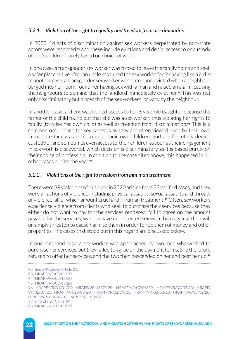# *5.2.1. Violation of the right to equality and freedom from discrimination*

In 2020, 14 acts of discrimination against sex workers perpetrated by non-state actors were recorded,**92** and these include evictions and denial access to or custody of one's children purely based on choice of work.

In one case, a transgender sex worker was forced to leave the family home and seek a safer place to live after an uncle assaulted the sex worker for 'behaving like a girl.'**<sup>93</sup>** In another case, a transgender sex worker was outed and evicted when a neighbour barged into her room, found her having sex with a man and raised an alarm, causing the neighbours to demand that the landlord immediately evict her.**94** This was not only discriminatory but a breach of the sex workers' privacy by the neighbour.

In another case, a client was denied access to her 8 year old daughter because the father of the child found out that she was a sex worker, thus violating her rights to family (to raise her own child) as well as freedom from discrimination.**95** This is a common occurrence for sex workers as they are often viewed even by their own immediate family as unfit to raise their own children, and are forcefully denied custody of, and sometimes even access to, their children as soon as their engagement in sex work is discovered, which decision is discriminatory as it is based purely on their choice of profession. In addition to the case cited above, this happened in 11 other cases during the year.**<sup>96</sup>**

### *5.2.2. Violations of the right to freedom from inhuman treatment*

There were 39 violations of this right in 2020 arising from 33 verified cases, and they were all actions of violence, including physical assaults, sexual assaults and threats of violence, all of which amount cruel and inhuman treatment.**97** Often, sex workers experience violence from clients who seek to purchase their services because they either do not want to pay for the services rendered, fail to agree on the amount payable for the services, want to have unprotected sex with them against their will or simply threaten to cause harm to them in order to rob them of money and other properties. The cases that stood out in this regard are discussed below.

In one recorded case, a sex worker was approached by two men who wished to purchase her services, but they failed to agree on the payment terms. She therefore refused to offer her services, and the two then descended on her and beat her up.**<sup>98</sup>**

<sup>92</sup> See n 99 above Article 21. 93 HRAPF/VR/03/01/20. 94 HRAPF/VR/02/12/20. 95 HRAPF/VR/01/08/20. 96 HRAPF/VR/01/01/20; HRAPF/VR/13/07/20; HRAPF/VR/07/08/20; HRAPF/VR/30/07/20; HRAPF/ VR/32/07/20; HRAPF/VR/28/08/20; HRAPF/VR/02/09/20; HRAPF/VR/02/02/20; HRAPF/VR/08/02/20; HRAPF/VR/17/08/20; HRAPF/VR/17/08/20. 97 n 13 above Article 24. 98 HRAPF/VR/11/09/20.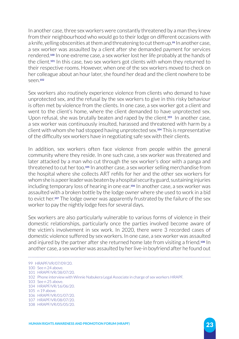In another case, three sex workers were constantly threatened by a man they knew from their neighbourhood who would go to their lodge on different occasions with a knife, yelling obscenities at them and threatening to cut them up.**99** In another case, a sex worker was assaulted by a client after she demanded payment for services rendered.**100** In one extreme case, a sex worker lost her life probably at the hands of the client.**101** In this case, two sex workers got clients with whom they returned to their respective rooms. However, when one of the sex workers moved to check on her colleague about an hour later, she found her dead and the client nowhere to be seen.**<sup>102</sup>**

Sex workers also routinely experience violence from clients who demand to have unprotected sex, and the refusal by the sex workers to give in this risky behaviour is often met by violence from the clients. In one case, a sex worker got a client and went to the client's home, where the client demanded to have unprotected sex. Upon refusal, she was brutally beaten and raped by the client.**103** In another case, a sex worker was continuously insulted, harassed and threatened with harm by a client with whom she had stopped having unprotected sex.**104** This is representative of the difficulty sex workers have in negotiating safe sex with their clients.

In addition, sex workers often face violence from people within the general community where they reside. In one such case, a sex worker was threatened and later attacked by a man who cut through the sex worker's door with a panga and threatened to cut her too.**105** In another case, a sex worker selling merchandise from the hospital where she collects ART refills for her and the other sex workers for whom she is a peer leader was beaten by a hospital security guard, sustaining injuries including temporary loss of hearing in one ear.**106** In another case, a sex worker was assaulted with a broken bottle by the lodge owner where she used to work in a bid to evict her.**107** The lodge owner was apparently frustrated by the failure of the sex worker to pay the nightly lodge fees for several days.

Sex workers are also particularly vulnerable to various forms of violence in their domestic relationships, particularly once the parties involved become aware of the victim's involvement in sex work. In 2020, there were 3 recorded cases of domestic violence suffered by sex workers. In one case, a sex worker was assaulted and injured by the partner after she returned home late from visiting a friend.**108** In another case, a sex worker was assaulted by her live-in boyfriend after he found out

<sup>99</sup> HRAPF/VR/07/09/20.

<sup>100</sup> See n 24 above.

<sup>101</sup> HRAPF/VR/38/07/20.

<sup>102</sup> Phone interview with Winnie Nabukera Legal Associate in charge of sex workers HRAPF.

<sup>103</sup> See n 25 above.

<sup>104</sup> HRAPF/VR/16/06/20.

<sup>105</sup> n 19 above.

<sup>106</sup> HRAPF/VR/01/07/20.

<sup>107</sup> HRAPF/VR/08/07/20.

<sup>108</sup> HRAPF/VR/05/05/20.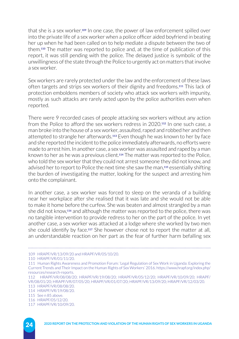that she is a sex worker.**109** In one case, the power of law enforcement spilled over into the private life of a sex worker when a police officer aided boyfriend in beating her up when he had been called on to help mediate a dispute between the two of them.**110** The matter was reported to police and, at the time of publication of this report, it was still pending with the police. The delayed justice is symbolic of the unwillingness of the state through the Police to urgently act on matters that involve a sex worker.

Sex workers are rarely protected under the law and the enforcement of these laws often targets and strips sex workers of their dignity and freedoms.**111** This lack of protection emboldens members of society who attack sex workers with impunity, mostly as such attacks are rarely acted upon by the police authorities even when reported.

There were 9 recorded cases of people attacking sex workers without any action from the Police to afford the sex workers redress in 2020.**112** In one such case, a man broke into the house of a sex worker, assaulted, raped and robbed her and then attempted to strangle her afterwards.**113** Even though he was known to her by face and she reported the incident to the police immediately afterwards, no efforts were made to arrest him. In another case, a sex worker was assaulted and raped by a man known to her as he was a previous client.**114** The matter was reported to the Police, who told the sex worker that they could not arrest someone they did not know, and advised her to report to Police the next time she saw the man,**115** essentially shifting the burden of investigating the matter, looking for the suspect and arresting him onto the complainant.

In another case, a sex worker was forced to sleep on the veranda of a building near her workplace after she realised that it was late and she would not be able to make it home before the curfew. She was beaten and almost strangled by a man she did not know,**116** and although the matter was reported to the police, there was no tangible intervention to provide redress to her on the part of the police. In yet another case, a sex worker was attacked at a lodge where she worked by two men she could identify by face.**117** She however chose not to report the matter at all, an understandable reaction on her part as the fear of further harm befalling sex

<sup>109</sup> HRAPF/VR/13/09/20 and HRAPF/VR/05/10/20.

<sup>110</sup> HRAPF/VR/01/11/20.

<sup>111</sup> Human Rights Awareness and Promotion Forum: 'Legal Regulation of Sex Work in Uganda: Exploring the Current Trends and Their Impact on the Human Rights of Sex Workers' 2016. [https://www.hrapf.org/index.php/](https://www.hrapf.org/index.php/resources/research-reports) [resources/research-reports](https://www.hrapf.org/index.php/resources/research-reports).

<sup>112</sup> HRAPF/VR/08/08/20; HRAPF/VR/19/08/20; HRAPF/VR/05/12/20; HRAPF/VR/10/09/20; HRAPF/ VR/08/01/20; HRAPF/VR/07/05/20; HRAPF/VR/01/07/20; HRAPF/VR/13/09/20; HRAPF/VR/12/03/20. 113 HRAPF/VR/08/08/20.

<sup>114</sup> HRAPF/VR/19/08/20.

<sup>115</sup> See n 85 above.

<sup>116</sup> HRAPF/05/12/20.

<sup>117</sup> HRAPF/VR/10/09/20.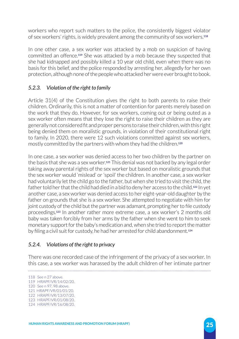workers who report such matters to the police, the consistently biggest violator of sex workers' rights, is widely prevalent among the community of sex workers.**<sup>118</sup>**

In one other case, a sex worker was attacked by a mob on suspicion of having committed an offence.**119** She was attacked by a mob because they suspected that she had kidnapped and possibly killed a 10 year old child, even when there was no basis for this belief, and the police responded by arresting her, allegedly for her own protection, although none of the people who attacked her were ever brought to book.

# *5.2.3. Violation of the right to family*

Article 31(4) of the Constitution gives the right to both parents to raise their children. Ordinarily, this is not a matter of contention for parents merely based on the work that they do. However, for sex workers, coming out or being outed as a sex worker often means that they lose the right to raise their children as they are generally not considered fit and proper persons to raise their children, with this right being denied them on moralistic grounds, in violation of their constitutional right to family. In 2020, there were 12 such violations committed against sex workers, mostly committed by the partners with whom they had the children.**<sup>120</sup>**

In one case, a sex worker was denied access to her two children by the partner on the basis that she was a sex worker.**121** This denial was not backed by any legal order taking away parental rights of the sex worker but based on moralistic grounds that the sex worker would 'mislead' or 'spoil' the children. In another case, a sex worker had voluntarily let the child go to the father, but when she tried to visit the child, the father told her that the child had died in a bid to deny her access to the child.**122** In yet another case, a sex worker was denied access to her eight-year-old daughter by the father on grounds that she is a sex worker. She attempted to negotiate with him for joint custody of the child but the partner was adamant, prompting her to file custody proceedings.**123** In another rather more extreme case, a sex worker's 2 months old baby was taken forcibly from her arms by the father when she went to him to seek monetary support for the baby's medication and, when she tried to report the matter by filing a civil suit for custody, he had her arrested for child abandonment.**<sup>124</sup>**

# *5.2.4. Violations of the right to privacy*

There was one recorded case of the infringement of the privacy of a sex worker. In this case, a sex worker was harassed by the adult children of her intimate partner

118 See n 27 above. 119 HRAPF/VR/14/02/20. 120 See n 97, 98 above. 121 HRAPF/VR/01/01/20. 122 HRAPF/VR/13/07/20. 123 HRAPF/VR/01/08/20. 124 HRAPF/VR/16/08/20.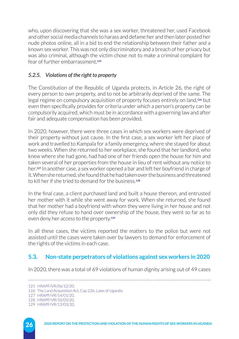who, upon discovering that she was a sex worker, threatened her, used Facebook and other social media channels to harass and defame her and then later posted her nude photos online, all in a bid to end the relationship between their father and a known sex worker. This was not only discriminatory and a breach of her privacy but was also criminal, although the victim chose not to make a criminal complaint for fear of further embarrassment.**<sup>125</sup>**

## *5.2.5. Violations of the right to property*

The Constitution of the Republic of Uganda protects, in Article 26, the right of every person to own property, and to not be arbitrarily deprived of the same. The legal regime on compulsory acquisition of property focuses entirely on land,**126** but even then specifically provides for criteria under which a person's property can be compulsorily acquired, which must be in accordance with a governing law and after fair and adequate compensation has been provided.

In 2020, however, there were three cases in which sex workers were deprived of their property without just cause. In the first case, a sex worker left her place of work and travelled to Kampala for a family emergency, where she stayed for about two weeks. When she returned to her workplace, she found that her landlord, who knew where she had gone, had had one of her friends open the house for him and taken several of her properties from the house in lieu of rent without any notice to her.**127** In another case, a sex worker opened a bar and left her boyfriend in charge of it. When she returned, she found that he had taken over the business and threatened to kill her if she tried to demand for the business.**<sup>128</sup>**

In the final case, a client purchased land and built a house thereon, and entrusted her mother with it while she went away for work. When she returned, she found that her mother had a boyfriend with whom they were living in her house and not only did they refuse to hand over ownership of the house, they went so far as to even deny her access to the property.**<sup>129</sup>**

In all these cases, the victims reported the matters to the police but were not assisted until the cases were taken over by lawyers to demand for enforcement of the rights of the victims in each case.

# **5.3. Non-state perpetrators of violations against sex workers in 2020**

In 2020, there was a total of 69 violations of human dignity arising out of 49 cases

<sup>125</sup> HRAPF/VR/06/12/20.

<sup>126</sup> The Land Acquisition Act, Cap 226, Laws of Uganda.

<sup>127</sup> HRAPF/VR/14/01/20.

<sup>128</sup> HRAPF/VR/10/03/20.

<sup>129</sup> HRAPF/VR/13/03/20.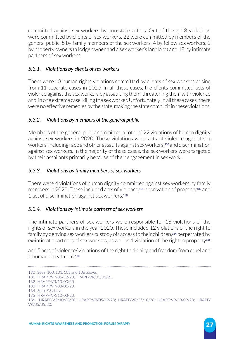committed against sex workers by non-state actors. Out of these, 18 violations were committed by clients of sex workers, 22 were committed by members of the general public, 5 by family members of the sex workers, 4 by fellow sex workers, 2 by property owners (a lodge owner and a sex worker's landlord) and 18 by intimate partners of sex workers.

# *5.3.1. Violations by clients of sex workers*

There were 18 human rights violations committed by clients of sex workers arising from 11 separate cases in 2020. In all these cases, the clients committed acts of violence against the sex workers by assaulting them, threatening them with violence and, in one extreme case, killing the sex worker. Unfortunately, in all these cases, there were no effective remedies by the state, making the state complicit in these violations.

## *5.3.2. Violations by members of the general public*

Members of the general public committed a total of 22 violations of human dignity against sex workers in 2020. These violations were acts of violence against sex workers, including rape and other assaults against sex workers,**130** and discrimination against sex workers. In the majority of these cases, the sex workers were targeted by their assailants primarily because of their engagement in sex work.

## *5.3.3. Violations by family members of sex workers*

There were 4 violations of human dignity committed against sex workers by family members in 2020. These included acts of violence,**131** deprivation of property**132** and 1 act of discrimination against sex workers.**<sup>133</sup>**

### *5.3.4. Violations by intimate partners of sex workers*

The intimate partners of sex workers were responsible for 18 violations of the rights of sex workers in the year 2020. These included 12 violations of the right to family by denying sex workers custody of/ access to their children,**134** perpetrated by ex-intimate partners of sex workers, as well as 1 violation of the right to property**<sup>135</sup>**

and 5 acts of violence/ violations of the right to dignity and freedom from cruel and inhumane treatment.**<sup>136</sup>**

<sup>130</sup> See n 100, 101, 103 and 106 above.

<sup>131</sup> HRAPF/VR/06/12/20; HRAPF/VR/03/01/20.

<sup>132</sup> HRAPF/VR/13/03/20.

<sup>133</sup> HRAPF/VR/03/01/20.

<sup>134</sup> See n 98 above.

<sup>135</sup> HRAPF/VR/10/03/20.

<sup>136</sup> HRAPF/VR/10/03/20; HRAPF/VR/05/12/20; HRAPF/VR/05/10/20; HRAPF/VR/13/09/20; HRAPF/ VR/05/05/20.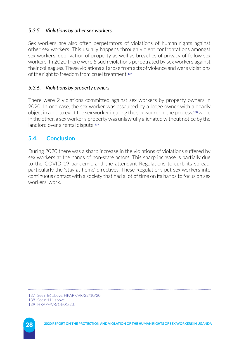### *5.3.5. Violations by other sex workers*

Sex workers are also often perpetrators of violations of human rights against other sex workers. This usually happens through violent confrontations amongst sex workers, deprivation of property as well as breaches of privacy of fellow sex workers. In 2020 there were 5 such violations perpetrated by sex workers against their colleagues. These violations all arose from acts of violence and were violations of the right to freedom from cruel treatment.**<sup>137</sup>**

### *5.3.6. Violations by property owners*

There were 2 violations committed against sex workers by property owners in 2020. In one case, the sex worker was assaulted by a lodge owner with a deadly object in a bid to evict the sex worker injuring the sex worker in the process,**138** while in the other, a sex worker's property was unlawfully alienated without notice by the landlord over a rental dispute.**<sup>139</sup>**

# **5.4. Conclusion**

During 2020 there was a sharp increase in the violations of violations suffered by sex workers at the hands of non-state actors. This sharp increase is partially due to the COVID-19 pandemic and the attendant Regulations to curb its spread, particularly the 'stay at home' directives. These Regulations put sex workers into continuous contact with a society that had a lot of time on its hands to focus on sex workers' work.

<sup>137</sup> See n 86 above, HRAPF/VR/22/10/20.

<sup>138</sup> See n 111 above.

<sup>139</sup> HRAPF/VR/14/01/20.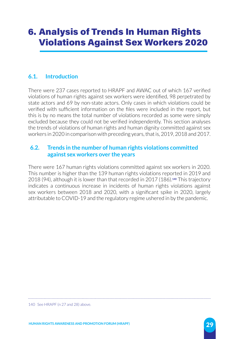# 6. Analysis of Trends In Human Rights Violations Against Sex Workers 2020

# **6.1. Introduction**

There were 237 cases reported to HRAPF and AWAC out of which 167 verified violations of human rights against sex workers were identified, 98 perpetrated by state actors and 69 by non-state actors. Only cases in which violations could be verified with sufficient information on the files were included in the report, but this is by no means the total number of violations recorded as some were simply excluded because they could not be verified independently. This section analyses the trends of violations of human rights and human dignity committed against sex workers in 2020 in comparison with preceding years, that is, 2019, 2018 and 2017.

### **6.2. Trends in the number of human rights violations committed against sex workers over the years**

There were 167 human rights violations committed against sex workers in 2020. This number is higher than the 139 human rights violations reported in 2019 and 2018 (94), although it is lower than that recorded in 2017 (186).**140** This trajectory indicates a continuous increase in incidents of human rights violations against sex workers between 2018 and 2020, with a significant spike in 2020, largely attributable to COVID-19 and the regulatory regime ushered in by the pandemic.

140 See HRAPF (n 27 and 28) above.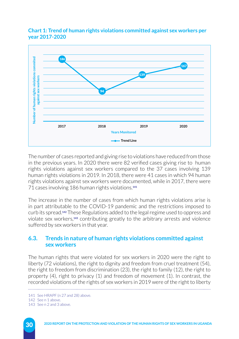



The number of cases reported and giving rise to violations have reduced from those in the previous years. In 2020 there were 82 verified cases giving rise to human rights violations against sex workers compared to the 37 cases involving 139 human rights violations in 2019. In 2018, there were 41 cases in which 94 human rights violations against sex workers were documented, while in 2017, there were 71 cases involving 186 human rights violations.**<sup>141</sup>**

The increase in the number of cases from which human rights violations arise is in part attributable to the COVID-19 pandemic and the restrictions imposed to curb its spread.**142** These Regulations added to the legal regime used to oppress and violate sex workers,**143** contributing greatly to the arbitrary arrests and violence suffered by sex workers in that year.

### **6.3. Trends in nature of human rights violations committed against sex workers**

The human rights that were violated for sex workers in 2020 were the right to liberty (72 violations), the right to dignity and freedom from cruel treatment (54), the right to freedom from discrimination (23), the right to family (12), the right to property (4), right to privacy (1) and freedom of movement (1). In contrast, the recorded violations of the rights of sex workers in 2019 were of the right to liberty

143 See n 2 and 3 above.

<sup>141</sup> See HRAPF (n 27 and 28) above.

<sup>142</sup> See n 1 above.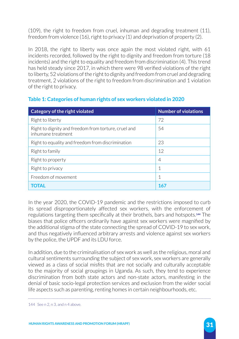(109), the right to freedom from cruel, inhuman and degrading treatment (11), freedom from violence (16), right to privacy (1) and deprivation of property (2).

In 2018, the right to liberty was once again the most violated right, with 61 incidents recorded, followed by the right to dignity and freedom from torture (18 incidents) and the right to equality and freedom from discrimination (4). This trend has held steady since 2017, in which there were 98 verified violations of the right to liberty, 52 violations of the right to dignity and freedom from cruel and degrading treatment, 2 violations of the right to freedom from discrimination and 1 violation of the right to privacy.

### **Table 1: Categories of human rights of sex workers violated in 2020**

| Category of the right violated                                             | <b>Number of violations</b> |
|----------------------------------------------------------------------------|-----------------------------|
| Right to liberty                                                           | 72                          |
| Right to dignity and freedom from torture, cruel and<br>inhumane treatment | 54                          |
| Right to equality and freedom from discrimination                          | 23                          |
| Right to family                                                            | 12                          |
| Right to property                                                          | 4                           |
| Right to privacy                                                           | 1                           |
| Freedom of movement                                                        |                             |
|                                                                            | 167                         |

In the year 2020, the COVID-19 pandemic and the restrictions imposed to curb its spread disproportionately affected sex workers, with the enforcement of regulations targeting them specifically at their brothels, bars and hotspots.**144** The biases that police officers ordinarily have against sex workers were magnified by the additional stigma of the state connecting the spread of COVID-19 to sex work, and thus negatively influenced arbitrary arrests and violence against sex workers by the police, the UPDF and its LDU force.

In addition, due to the criminalisation of sex work as well as the religious, moral and cultural sentiments surrounding the subject of sex work, sex workers are generally viewed as a class of social misfits that are not socially and culturally acceptable to the majority of social groupings in Uganda. As such, they tend to experience discrimination from both state actors and non-state actors, manifesting in the denial of basic socio-legal protection services and exclusion from the wider social life aspects such as parenting, renting homes in certain neighbourhoods, etc.

144 See n 2, n 3, and n 4 above.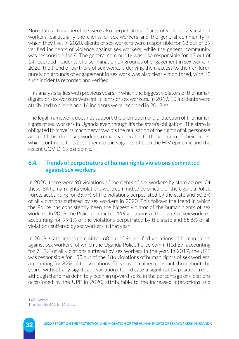Non state actors therefore were also perpetrators of acts of violence against sex workers, particularly the clients of sex workers and the general community in which they live. In 2020, clients of sex workers were responsible for 18 out of 39 verified incidents of violence against sex workers, while the general community was responsible for 8. The general community was also responsible for 13 out of 14 recorded incidents of discrimination on grounds of engagement in sex work. In 2020, the trend of partners of sex workers denying them access to their children purely on grounds of engagement in sex work was also clearly monitored, with 12 such incidents recorded and verified.

This analysis tallies with previous years, in which the biggest violators of the human dignity of sex workers were still clients of sex workers. In 2019, 10 incidents were attributed to clients and 16 incidents were recorded in 2018.**<sup>145</sup>**

The legal framework does not support the promotion and protection of the human rights of sex workers in Uganda even though it's the state's obligation. The state is obligated to move its machinery towards the realisation of the rights of all persons**<sup>146</sup>** and until this done, sex workers remain vulnerable to the violation of their rights, which continues to expose them to the vagaries of both the HIV epidemic and the recent COVID-19 pandemic.

## **6.4. Trends of perpetrators of human rights violations committed against sex workers**

In 2020, there were 98 violations of the rights of sex workers by state actors. Of these, 84 human rights violations were committed by officers of the Uganda Police Force, accounting for 85.7% of the violations perpetrated by the state and 50.3% of all violations suffered by sex workers in 2020. This follows the trend in which the Police has consistently been the biggest violator of the human rights of sex workers. In 2019, the Police committed 119 violations of the rights of sex workers, accounting for 99.1% of the violations perpetrated by the state and 85.6% of all violations suffered by sex workers in that year.

In 2018, state actors committed 68 out of 94 verified violations of human rights against sex workers, of which the Uganda Police Force committed 67, accounting for 71.2% of all violations suffered by sex workers in the year. In 2017, the UPF was responsible for 153 out of the 186 violations of human rights of sex workers, accounting for 82% of the violations. This has remained constant throughout the years, without any significant variations to indicate a significantly positive trend, although there has definitely been an upward spike in the percentage of violations occasioned by the UPF in 2020, attributable to the increased interactions and

145 Above. 146 See SERAC (n 16 above).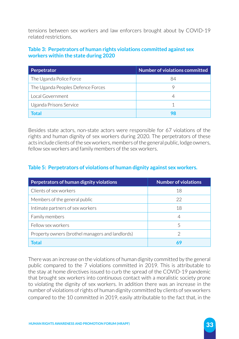tensions between sex workers and law enforcers brought about by COVID-19 related restrictions.

### **Table 3: Perpetrators of human rights violations committed against sex workers within the state during 2020**

| Perpetrator                       | Number of violations committed |
|-----------------------------------|--------------------------------|
| The Uganda Police Force           | 84                             |
| The Uganda Peoples Defence Forces |                                |
| Local Government                  |                                |
| Uganda Prisons Service            |                                |
| Total                             |                                |

Besides state actors, non-state actors were responsible for 67 violations of the rights and human dignity of sex workers during 2020. The perpetrators of these acts include clients of the sex workers, members of the general public, lodge owners, fellow sex workers and family members of the sex workers.

### **Table 5: Perpetrators of violations of human dignity against sex workers.**

| Perpetrators of human dignity violations         | <b>Number of violations</b> |
|--------------------------------------------------|-----------------------------|
| Clients of sex workers                           | 18                          |
| Members of the general public                    | 22                          |
| Intimate partners of sex workers                 | 18                          |
| Family members                                   | 4                           |
| Fellow sex workers                               | 5                           |
| Property owners (brothel managers and landlords) | 2                           |
| Total                                            | 69                          |

There was an increase on the violations of human dignity committed by the general public compared to the 7 violations committed in 2019. This is attributable to the stay at home directives issued to curb the spread of the COVID-19 pandemic that brought sex workers into continuous contact with a moralistic society prone to violating the dignity of sex workers. In addition there was an increase in the number of violations of rights of human dignity committed by clients of sex workers compared to the 10 committed in 2019, easily attributable to the fact that, in the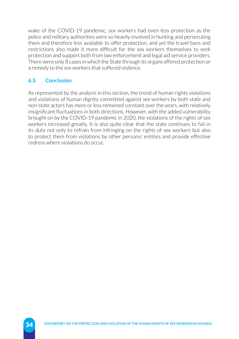wake of the COVID-19 pandemic, sex workers had even less protection as the police and military authorities were so heavily involved in hunting and persecuting them and therefore less available to offer protection, and yet the travel bans and restrictions also made it more difficult for the sex workers themselves to seek protection and support both from law enforcement and legal aid service providers. There were only 8 cases in which the State through its organs offered protection or a remedy to the sex workers that suffered violence.

# **6.5. Conclusion**

As represented by the analysis in this section, the trend of human rights violations and violations of human dignity committed against sex workers by both state and non-state actors has more or less remained constant over the years, with relatively insignificant fluctuations in both directions. However, with the added vulnerability brought on by the COVID-19 pandemic in 2020, the violations of the rights of sex workers increased greatly. It is also quite clear that the state continues to fail in its duty not only to refrain from infringing on the rights of sex workers but also to protect them from violations by other persons/ entities and provide effective redress where violations do occur.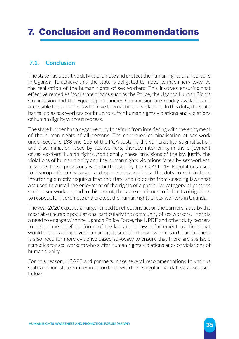# 7. Conclusion and Recommendations

### **7.1. Conclusion**

The state has a positive duty to promote and protect the human rights of all persons in Uganda. To achieve this, the state is obligated to move its machinery towards the realisation of the human rights of sex workers. This involves ensuring that effective remedies from state organs such as the Police, the Uganda Human Rights Commission and the Equal Opportunities Commission are readily available and accessible to sex workers who have been victims of violations. In this duty, the state has failed as sex workers continue to suffer human rights violations and violations of human dignity without redress.

The state further has a negative duty to refrain from interfering with the enjoyment of the human rights of all persons. The continued criminalisation of sex work under sections 138 and 139 of the PCA sustains the vulnerability, stigmatisation and discrimination faced by sex workers, thereby interfering in the enjoyment of sex workers' human rights. Additionally, these provisions of the law justify the violations of human dignity and the human rights violations faced by sex workers. In 2020, these provisions were buttressed by the COVID-19 Regulations used to disproportionately target and oppress sex workers. The duty to refrain from interfering directly requires that the state should desist from enacting laws that are used to curtail the enjoyment of the rights of a particular category of persons such as sex workers, and to this extent, the state continues to fail in its obligations to respect, fulfil, promote and protect the human rights of sex workers in Uganda.

The year 2020 exposed an urgent need to reflect and act on the barriers faced by the most at vulnerable populations, particularly the community of sex workers. There is a need to engage with the Uganda Police Force, the UPDF and other duty bearers to ensure meaningful reforms of the law and in law enforcement practices that would ensure an improved human rights situation for sex workers in Uganda. There is also need for more evidence based advocacy to ensure that there are available remedies for sex workers who suffer human rights violations and/ or violations of human dignity.

For this reason, HRAPF and partners make several recommendations to various state and non-state entities in accordance with their singular mandates as discussed below.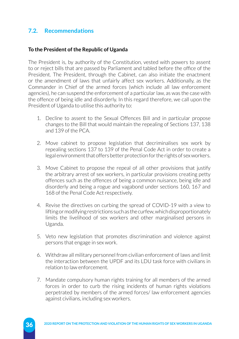## **7.2. Recommendations**

#### **To the President of the Republic of Uganda**

The President is, by authority of the Constitution, vested with powers to assent to or reject bills that are passed by Parliament and tabled before the office of the President. The President, through the Cabinet, can also initiate the enactment or the amendment of laws that unfairly affect sex workers. Additionally, as the Commander in Chief of the armed forces (which include all law enforcement agencies), he can suspend the enforcement of a particular law, as was the case with the offence of being idle and disorderly. In this regard therefore, we call upon the President of Uganda to utilise this authority to:

- 1. Decline to assent to the Sexual Offences Bill and in particular propose changes to the Bill that would maintain the repealing of Sections 137, 138 and 139 of the PCA.
- 2. Move cabinet to propose legislation that decriminalises sex work by repealing sections 137 to 139 of the Penal Code Act in order to create a legal environment that offers better protection for the rights of sex workers.
- 3. Move Cabinet to propose the repeal of all other provisions that justify the arbitrary arrest of sex workers, in particular provisions creating petty offences such as the offences of being a common nuisance, being idle and disorderly and being a rogue and vagabond under sections 160, 167 and 168 of the Penal Code Act respectively.
- 4. Revise the directives on curbing the spread of COVID-19 with a view to lifting or modifying restrictions such as the curfew, which disproportionately limits the livelihood of sex workers and other marginalised persons in Uganda.
- 5. Veto new legislation that promotes discrimination and violence against persons that engage in sex work.
- 6. Withdraw all military personnel from civilian enforcement of laws and limit the interaction between the UPDF and its LDU task force with civilians in relation to law enforcement.
- 7. Mandate compulsory human rights training for all members of the armed forces in order to curb the rising incidents of human rights violations perpetrated by members of the armed forces/ law enforcement agencies against civilians, including sex workers.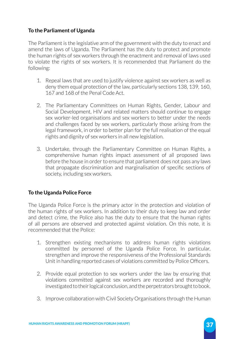### **To the Parliament of Uganda**

The Parliament is the legislative arm of the government with the duty to enact and amend the laws of Uganda. The Parliament has the duty to protect and promote the human rights of sex workers through the enactment and removal of laws used to violate the rights of sex workers. It is recommended that Parliament do the following:

- 1. Repeal laws that are used to justify violence against sex workers as well as deny them equal protection of the law, particularly sections 138, 139, 160, 167 and 168 of the Penal Code Act.
- 2. The Parliamentary Committees on Human Rights, Gender, Labour and Social Development, HIV and related matters should continue to engage sex worker-led organisations and sex workers to better under the needs and challenges faced by sex workers, particularly those arising from the legal framework, in order to better plan for the full realisation of the equal rights and dignity of sex workers in all new legislation.
- 3. Undertake, through the Parliamentary Committee on Human Rights, a comprehensive human rights impact assessment of all proposed laws before the house in order to ensure that parliament does not pass any laws that propagate discrimination and marginalisation of specific sections of society, including sex workers.

### **To the Uganda Police Force**

The Uganda Police Force is the primary actor in the protection and violation of the human rights of sex workers. In addition to their duty to keep law and order and detect crime, the Police also has the duty to ensure that the human rights of all persons are observed and protected against violation. On this note, it is recommended that the Police:

- 1. Strengthen existing mechanisms to address human rights violations committed by personnel of the Uganda Police Force. In particular, strengthen and improve the responsiveness of the Professional Standards Unit in handling reported cases of violations committed by Police Officers.
- 2. Provide equal protection to sex workers under the law by ensuring that violations committed against sex workers are recorded and thoroughly investigated to their logical conclusion, and the perpetrators brought to book.
- 3. Improve collaboration with Civil Society Organisations through the Human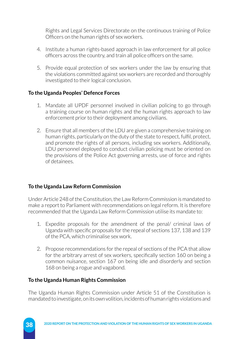Rights and Legal Services Directorate on the continuous training of Police Officers on the human rights of sex workers.

- 4. Institute a human rights-based approach in law enforcement for all police officers across the country, and train all police officers on the same.
- 5. Provide equal protection of sex workers under the law by ensuring that the violations committed against sex workers are recorded and thoroughly investigated to their logical conclusion.

### **To the Uganda Peoples' Defence Forces**

- 1. Mandate all UPDF personnel involved in civilian policing to go through a training course on human rights and the human rights approach to law enforcement prior to their deployment among civilians.
- 2. Ensure that all members of the LDU are given a comprehensive training on human rights, particularly on the duty of the state to respect, fulfil, protect, and promote the rights of all persons, including sex workers. Additionally, LDU personnel deployed to conduct civilian policing must be oriented on the provisions of the Police Act governing arrests, use of force and rights of detainees.

### **To the Uganda Law Reform Commission**

Under Article 248 of the Constitution, the Law Reform Commission is mandated to make a report to Parliament with recommendations on legal reform. It is therefore recommended that the Uganda Law Reform Commission utilise its mandate to:

- 1. Expedite proposals for the amendment of the penal/ criminal laws of Uganda with specific proposals for the repeal of sections 137, 138 and 139 of the PCA, which criminalise sex work.
- 2. Propose recommendations for the repeal of sections of the PCA that allow for the arbitrary arrest of sex workers, specifically section 160 on being a common nuisance, section 167 on being idle and disorderly and section 168 on being a rogue and vagabond.

### **To the Uganda Human Rights Commission**

The Uganda Human Rights Commission under Article 51 of the Constitution is mandated to investigate, on its own volition, incidents of human rights violations and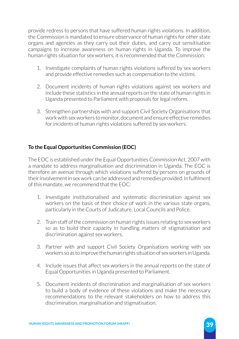provide redress to persons that have suffered human rights violations. In addition, the Commission is mandated to ensure observance of human rights for other state organs and agencies as they carry out their duties, and carry out sensitisation campaigns to increase awareness on human rights in Uganda. To improve the human rights situation for sex workers, it is recommended that the Commission:

- 1. Investigate complaints of human rights violations suffered by sex workers and provide effective remedies such as compensation to the victims.
- 2. Document incidents of human rights violations against sex workers and include these statistics in the annual reports on the state of human rights in Uganda presented to Parliament with proposals for legal reform.
- 3. Strengthen partnerships with and support Civil Society Organisations that work with sex workers to monitor, document and ensure effective remedies for incidents of human rights violations suffered by sex workers.

# **To the Equal Opportunities Commission (EOC)**

The EOC is established under the Equal Opportunities Commission Act, 2007 with a mandate to address marginalisation and discrimination in Uganda. The EOC is therefore an avenue through which violations suffered by persons on grounds of their involvement in sex work can be addressed and remedies provided. In fulfilment of this mandate, we recommend that the EOC:

- 1. Investigate institutionalised and systematic discrimination against sex workers on the basis of their choice of work in the various state organs, particularly in the Courts of Judicature, Local Councils and Police.
- 2. Train staff of the commission on human rights issues relating to sex workers so as to build their capacity in handling matters of stigmatisation and discrimination against sex workers.
- 3. Partner with and support Civil Society Organisations working with sex workers so as to improve the human rights situation of sex workers in Uganda.
- 4. Include issues that affect sex workers in the annual reports on the state of Equal Opportunities in Uganda presented to Parliament.
- 5. Document incidents of discrimination and marginalisation of sex workers to build a body of evidence of these violations and make the necessary recommendations to the relevant stakeholders on how to address this discrimination, marginalisation and stigmatisation.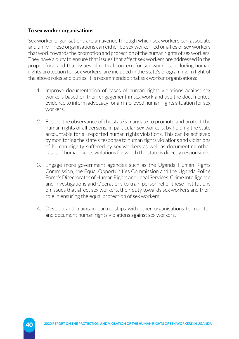### **To sex worker organisations**

Sex worker organisations are an avenue through which sex workers can associate and unify. These organisations can either be sex worker-led or allies of sex workers that work towards the promotion and protection of the human rights of sex workers. They have a duty to ensure that issues that affect sex workers are addressed in the proper fora, and that issues of critical concern for sex workers, including human rights protection for sex workers, are included in the state's programing. In light of the above roles and duties, it is recommended that sex worker organisations:

- 1. Improve documentation of cases of human rights violations against sex workers based on their engagement in sex work and use the documented evidence to inform advocacy for an improved human rights situation for sex workers.
- 2. Ensure the observance of the state's mandate to promote and protect the human rights of all persons, in particular sex workers, by holding the state accountable for all reported human rights violations. This can be achieved by monitoring the state's response to human rights violations and violations of human dignity suffered by sex workers as well as documenting other cases of human rights violations for which the state is directly responsible.
- 3. Engage more government agencies such as the Uganda Human Rights Commission, the Equal Opportunities Commission and the Uganda Police Force's Directorates of Human Rights and Legal Services, Crime Intelligence and Investigations and Operations to train personnel of these institutions on issues that affect sex workers, their duty towards sex workers and their role in ensuring the equal protection of sex workers.
- 4. Develop and maintain partnerships with other organisations to monitor and document human rights violations against sex workers.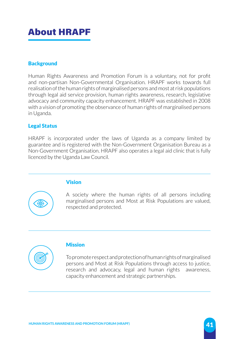# About HRAPF

### **Background**

Human Rights Awareness and Promotion Forum is a voluntary, not for profit and non-partisan Non-Governmental Organisation. HRAPF works towards full realisation of the human rights of marginalised persons and most at risk populations through legal aid service provision, human rights awareness, research, legislative advocacy and community capacity enhancement. HRAPF was established in 2008 with a vision of promoting the observance of human rights of marginalised persons in Uganda.

### Legal Status

HRAPF is incorporated under the laws of Uganda as a company limited by guarantee and is registered with the Non-Government Organisation Bureau as a Non-Government Organisation. HRAPF also operates a legal aid clinic that is fully licenced by the Uganda Law Council.

### Vision

A society where the human rights of all persons including marginalised persons and Most at Risk Populations are valued, respected and protected.



6

### **Mission**

To promote respect and protection of human rights of marginalised persons and Most at Risk Populations through access to justice, research and advocacy, legal and human rights awareness, capacity enhancement and strategic partnerships.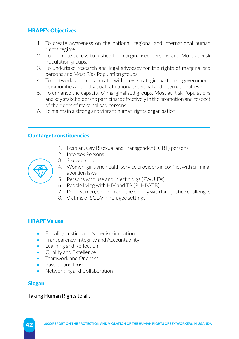### HRAPF's Objectives

- 1. To create awareness on the national, regional and international human rights regime.
- 2. To promote access to justice for marginalised persons and Most at Risk Population groups.
- 3. To undertake research and legal advocacy for the rights of marginalised persons and Most Risk Population groups.
- 4. To network and collaborate with key strategic partners, government, communities and individuals at national, regional and international level.
- 5. To enhance the capacity of marginalised groups, Most at Risk Populations and key stakeholders to participate effectively in the promotion and respect of the rights of marginalised persons.
- 6. To maintain a strong and vibrant human rights organisation.

### Our target constituencies

- 1. Lesbian, Gay Bisexual and Transgender (LGBT) persons.
- 2. Intersex Persons
- 3. Sex workers



- 5. Persons who use and inject drugs (PWUIDs)
- 6. People living with HIV and TB (PLHIV/TB)
- 7. Poor women, children and the elderly with land justice challenges
- 8. Victims of SGBV in refugee settings

### HRAPF Values

- Equality, Justice and Non-discrimination
- Transparency, Integrity and Accountability
- Learning and Reflection
- Quality and Excellence
- Teamwork and Oneness
- Passion and Drive
- Networking and Collaboration

### Slogan

#### Taking Human Rights to all.